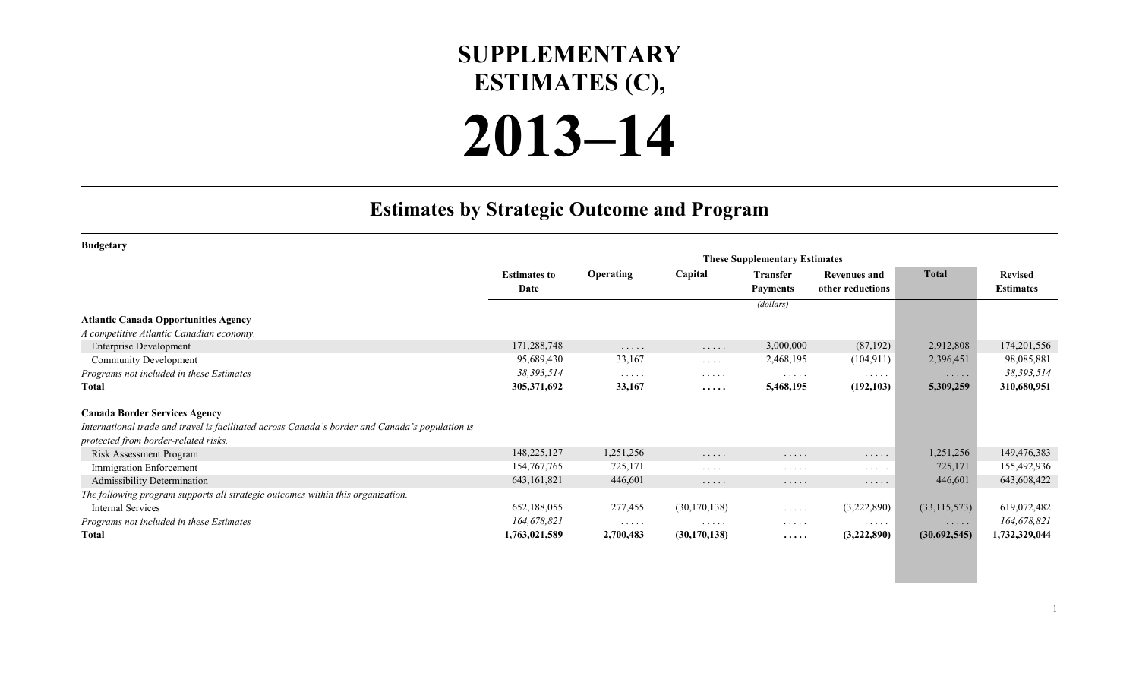## **SUPPLEMENTARY ESTIMATES (C),**

## **2013–14**

## **Estimates by Strategic Outcome and Program**

| <b>Budgetary</b>                                                                                |                     |                      |                |                      |                                    |                |                  |
|-------------------------------------------------------------------------------------------------|---------------------|----------------------|----------------|----------------------|------------------------------------|----------------|------------------|
|                                                                                                 |                     |                      |                |                      |                                    |                |                  |
|                                                                                                 | <b>Estimates to</b> | <b>Operating</b>     | Capital        | <b>Transfer</b>      | <b>Revenues and</b>                | <b>Total</b>   | <b>Revised</b>   |
|                                                                                                 | Date                |                      |                | <b>Payments</b>      | other reductions                   |                | <b>Estimates</b> |
|                                                                                                 |                     |                      |                | (dollars)            |                                    |                |                  |
| <b>Atlantic Canada Opportunities Agency</b>                                                     |                     |                      |                |                      |                                    |                |                  |
| A competitive Atlantic Canadian economy.                                                        |                     |                      |                |                      |                                    |                |                  |
| <b>Enterprise Development</b>                                                                   | 171,288,748         | $\cdots$             | .              | 3,000,000            | (87, 192)                          | 2,912,808      | 174,201,556      |
| <b>Community Development</b>                                                                    | 95,689,430          | 33,167               | $\cdots$       | 2,468,195            | (104, 911)                         | 2,396,451      | 98,085,881       |
| Programs not included in these Estimates                                                        | 38,393,514          | $\cdots\cdots\cdots$ | .              | $\cdots\cdots\cdots$ | $\cdots$                           | $\cdots$       | 38,393,514       |
| <b>Total</b>                                                                                    | 305,371,692         | 33,167               | .              | 5,468,195            | (192, 103)                         | 5,309,259      | 310,680,951      |
| <b>Canada Border Services Agency</b>                                                            |                     |                      |                |                      |                                    |                |                  |
| International trade and travel is facilitated across Canada's border and Canada's population is |                     |                      |                |                      |                                    |                |                  |
| protected from border-related risks.                                                            |                     |                      |                |                      |                                    |                |                  |
| Risk Assessment Program                                                                         | 148,225,127         | 1,251,256            | .              | .                    | $\cdots$                           | 1,251,256      | 149,476,383      |
| Immigration Enforcement                                                                         | 154, 767, 765       | 725,171              | $\cdots$       | $\cdots$             | $\cdots$                           | 725,171        | 155,492,936      |
| <b>Admissibility Determination</b>                                                              | 643,161,821         | 446,601              | .              | .                    | .                                  | 446,601        | 643,608,422      |
| The following program supports all strategic outcomes within this organization.                 |                     |                      |                |                      |                                    |                |                  |
| <b>Internal Services</b>                                                                        | 652,188,055         | 277,455              | (30, 170, 138) | .                    | (3,222,890)                        | (33, 115, 573) | 619,072,482      |
| Programs not included in these Estimates                                                        | 164,678,821         | $\cdots$             | .              | $\cdots$             | $\sim$ $\sim$ $\sim$ $\sim$ $\sim$ | $\cdots$       | 164,678,821      |
| Total                                                                                           | 1,763,021,589       | 2,700,483            | (30, 170, 138) | $\cdots\cdots$       | (3,222,890)                        | (30,692,545)   | 1,732,329,044    |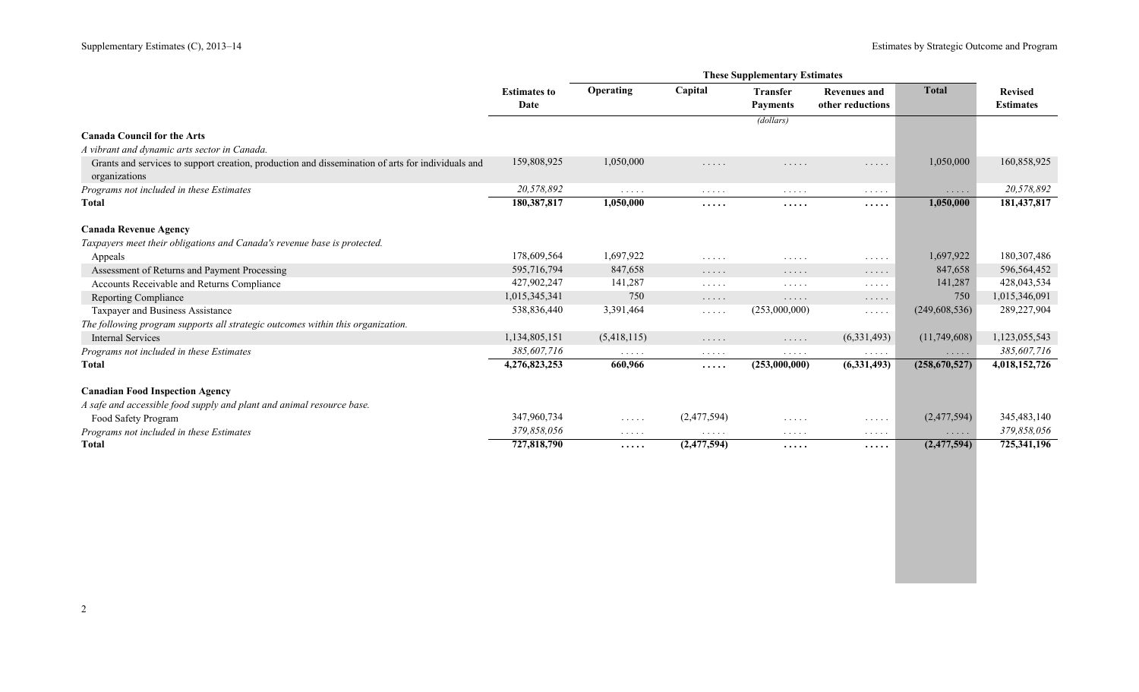|                                                                                                   | <b>Estimates to</b> | <b>Operating</b>                                       | Capital                                | <b>Transfer</b>                    | <b>Revenues and</b>                | <b>Total</b>    | <b>Revised</b>   |
|---------------------------------------------------------------------------------------------------|---------------------|--------------------------------------------------------|----------------------------------------|------------------------------------|------------------------------------|-----------------|------------------|
|                                                                                                   | Date                |                                                        |                                        | <b>Payments</b>                    | other reductions                   |                 | <b>Estimates</b> |
|                                                                                                   |                     |                                                        |                                        | (dollars)                          |                                    |                 |                  |
| <b>Canada Council for the Arts</b>                                                                |                     |                                                        |                                        |                                    |                                    |                 |                  |
| A vibrant and dynamic arts sector in Canada.                                                      |                     |                                                        |                                        |                                    |                                    |                 |                  |
| Grants and services to support creation, production and dissemination of arts for individuals and | 159,808,925         | 1,050,000                                              | .                                      | .                                  | $\cdots$                           | 1,050,000       | 160,858,925      |
| organizations                                                                                     |                     |                                                        |                                        |                                    |                                    |                 |                  |
| Programs not included in these Estimates                                                          | 20,578,892          | $\cdots$                                               | $\alpha$ , and $\alpha$ , and $\alpha$ | $\cdots$                           | $\cdots$                           | $\cdots$        | 20,578,892       |
| <b>Total</b>                                                                                      | 180,387,817         | 1,050,000                                              | .                                      | .                                  | $\cdots\cdots$                     | 1,050,000       | 181,437,817      |
| <b>Canada Revenue Agency</b>                                                                      |                     |                                                        |                                        |                                    |                                    |                 |                  |
| Taxpayers meet their obligations and Canada's revenue base is protected.                          |                     |                                                        |                                        |                                    |                                    |                 |                  |
| Appeals                                                                                           | 178,609,564         | 1,697,922                                              | .                                      | .                                  | $\cdots$                           | 1,697,922       | 180,307,486      |
| Assessment of Returns and Payment Processing                                                      | 595,716,794         | 847,658                                                | .                                      | .                                  | $\cdots$                           | 847,658         | 596,564,452      |
| Accounts Receivable and Returns Compliance                                                        | 427,902,247         | 141,287                                                | .                                      | .                                  | $\cdots\cdots\cdots$               | 141,287         | 428,043,534      |
| <b>Reporting Compliance</b>                                                                       | 1,015,345,341       | 750                                                    | $\cdots$                               | .                                  | $\cdots$                           | 750             | 1,015,346,091    |
| Taxpayer and Business Assistance                                                                  | 538,836,440         | 3,391,464                                              | .                                      | (253,000,000)                      | $\cdots\cdots\cdots$               | (249, 608, 536) | 289,227,904      |
| The following program supports all strategic outcomes within this organization.                   |                     |                                                        |                                        |                                    |                                    |                 |                  |
| Internal Services                                                                                 | 1,134,805,151       | (5,418,115)                                            | $\cdots$                               | $\sim$ $\sim$ $\sim$ $\sim$ $\sim$ | (6, 331, 493)                      | (11,749,608)    | 1,123,055,543    |
| Programs not included in these Estimates                                                          | 385,607,716         | $\cdots$                                               | .                                      | .                                  | $\ldots$                           | $\cdots$        | 385,607,716      |
| Total                                                                                             | 4,276,823,253       | 660,966                                                | .                                      | (253,000,000)                      | (6,331,493)                        | (258,670,527)   | 4,018,152,726    |
| <b>Canadian Food Inspection Agency</b>                                                            |                     |                                                        |                                        |                                    |                                    |                 |                  |
| A safe and accessible food supply and plant and animal resource base.                             |                     |                                                        |                                        |                                    |                                    |                 |                  |
| Food Safety Program                                                                               | 347,960,734         | $\mathcal{L}^{\mathcal{A}}$ . The set of $\mathcal{A}$ | (2,477,594)                            | .                                  | $\cdots$                           | (2,477,594)     | 345, 483, 140    |
| Programs not included in these Estimates                                                          | 379,858,056         | $\cdots\cdots\cdots$                                   | $\cdots\cdots\cdots$                   | $\cdots$                           | $\sim$ $\sim$ $\sim$ $\sim$ $\sim$ | $\cdots$        | 379,858,056      |
| <b>Total</b>                                                                                      | 727,818,790         | .                                                      | (2,477,594)                            | $\cdots\cdots$                     | $\cdots\cdots\cdots$               | (2,477,594)     | 725,341,196      |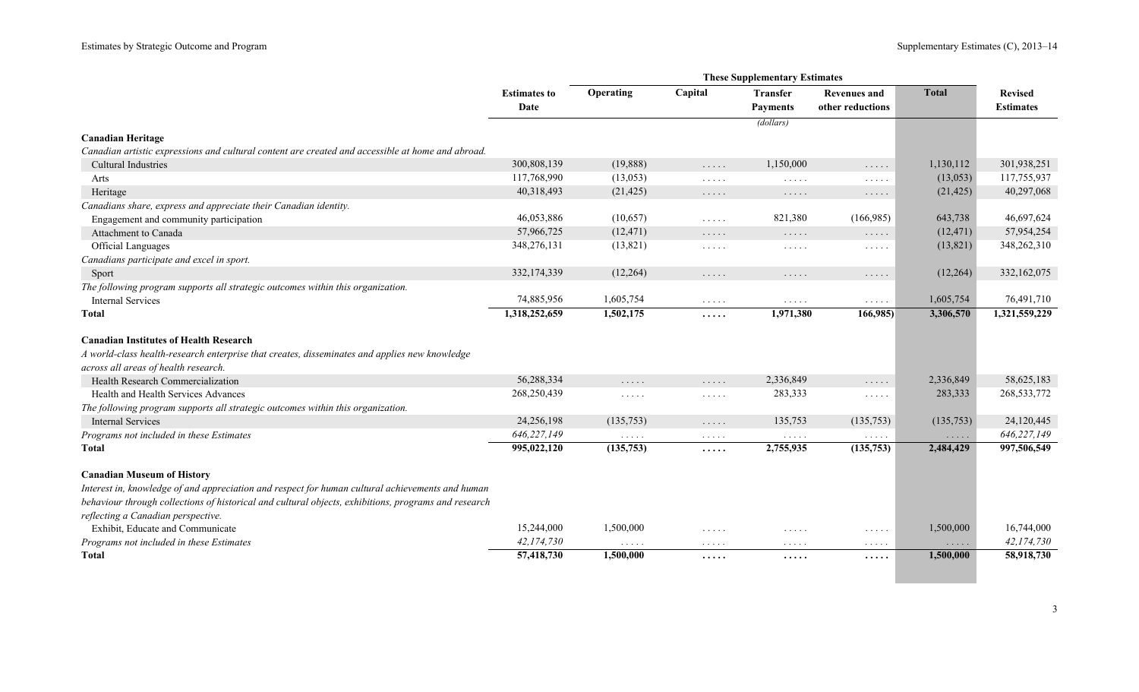|                                                                                                      | <b>Estimates to</b><br>Date | Operating                                                        | Capital                                            | <b>Transfer</b><br><b>Payments</b>               | <b>Revenues and</b><br>other reductions                           | <b>Total</b>                       | <b>Revised</b><br><b>Estimates</b> |
|------------------------------------------------------------------------------------------------------|-----------------------------|------------------------------------------------------------------|----------------------------------------------------|--------------------------------------------------|-------------------------------------------------------------------|------------------------------------|------------------------------------|
|                                                                                                      |                             |                                                                  |                                                    | (dollars)                                        |                                                                   |                                    |                                    |
| <b>Canadian Heritage</b>                                                                             |                             |                                                                  |                                                    |                                                  |                                                                   |                                    |                                    |
| Canadian artistic expressions and cultural content are created and accessible at home and abroad.    |                             |                                                                  |                                                    |                                                  |                                                                   |                                    |                                    |
| <b>Cultural Industries</b>                                                                           | 300,808,139                 | (19,888)                                                         | .                                                  | 1,150,000                                        | .                                                                 | 1,130,112                          | 301,938,251                        |
| Arts                                                                                                 | 117,768,990                 | (13,053)                                                         | .                                                  | $\sim$ $\sim$ $\sim$ $\sim$ $\sim$               | $\sim$ $\sim$ $\sim$ $\sim$ $\sim$                                | (13,053)                           | 117,755,937                        |
| Heritage                                                                                             | 40,318,493                  | (21, 425)                                                        | $\ldots$                                           | $\dots$                                          | $\dots$                                                           | (21, 425)                          | 40,297,068                         |
| Canadians share, express and appreciate their Canadian identity.                                     |                             |                                                                  |                                                    |                                                  |                                                                   |                                    |                                    |
| Engagement and community participation                                                               | 46,053,886                  | (10,657)                                                         | $\mathbb{Z}^n$ . $\mathbb{Z}^n$ , $\mathbb{Z}^n$ , | 821,380                                          | (166,985)                                                         | 643,738                            | 46,697,624                         |
| Attachment to Canada                                                                                 | 57,966,725                  | (12, 471)                                                        | $\cdots$                                           | $\cdots$                                         | $\ldots$                                                          | (12, 471)                          | 57,954,254                         |
| <b>Official Languages</b>                                                                            | 348,276,131                 | (13,821)                                                         | $\mathbb{Z}^2$ . In the set of $\mathbb{Z}^2$      | $\mathbb{Z}^n$ . $\mathbb{Z}^n$ , $\mathbb{Z}^n$ | $\mathbb{Z}^n$ . $\mathbb{Z}^n$ , $\mathbb{Z}^n$ ,                | (13,821)                           | 348,262,310                        |
| Canadians participate and excel in sport.                                                            |                             |                                                                  |                                                    |                                                  |                                                                   |                                    |                                    |
| Sport                                                                                                | 332,174,339                 | (12,264)                                                         | .                                                  | $\ldots$                                         | .                                                                 | (12,264)                           | 332,162,075                        |
| The following program supports all strategic outcomes within this organization.                      |                             |                                                                  |                                                    |                                                  |                                                                   |                                    |                                    |
| <b>Internal Services</b>                                                                             | 74,885,956                  | 1,605,754                                                        | $\mathbb{Z}^n$ . $\mathbb{Z}^n$ , $\mathbb{Z}^n$ , | $\mathbb{Z}^2$ . $\mathbb{Z}^2$ , $\mathbb{Z}^2$ | $\mathbb{Z}^2$ . In the $\mathbb{Z}^2$                            | 1,605,754                          | 76,491,710                         |
| Total                                                                                                | 1,318,252,659               | 1,502,175                                                        | .                                                  | 1,971,380                                        | 166,985)                                                          | 3,306,570                          | 1,321,559,229                      |
| <b>Canadian Institutes of Health Research</b>                                                        |                             |                                                                  |                                                    |                                                  |                                                                   |                                    |                                    |
| A world-class health-research enterprise that creates, disseminates and applies new knowledge        |                             |                                                                  |                                                    |                                                  |                                                                   |                                    |                                    |
| across all areas of health research.                                                                 |                             |                                                                  |                                                    |                                                  |                                                                   |                                    |                                    |
| Health Research Commercialization                                                                    | 56,288,334                  | .                                                                | $\ldots$                                           | 2,336,849                                        | .                                                                 | 2,336,849                          | 58,625,183                         |
| Health and Health Services Advances                                                                  | 268,250,439                 | $\mathbb{Z}^n$ . $\mathbb{Z}^n$ , $\mathbb{Z}^n$ ,               | $\ldots$                                           | 283,333                                          | 1.1.1.1                                                           | 283,333                            | 268, 533, 772                      |
| The following program supports all strategic outcomes within this organization.                      |                             |                                                                  |                                                    |                                                  |                                                                   |                                    |                                    |
| <b>Internal Services</b>                                                                             | 24,256,198                  | (135,753)                                                        | $\ldots$                                           | 135,753                                          | (135,753)                                                         | (135,753)                          | 24,120,445                         |
| Programs not included in these Estimates                                                             | 646,227,149                 | $\mathcal{L}^{\mathcal{A}}$ . In the $\mathcal{L}^{\mathcal{A}}$ | $\sim$ $\sim$ $\sim$ $\sim$ $\sim$                 | $\sim$ $\sim$ $\sim$ $\sim$ $\sim$               | $\sim$ $\sim$ $\sim$ $\sim$ $\sim$                                | $\ldots$ .                         | 646,227,149                        |
| Total                                                                                                | 995,022,120                 | (135,753)                                                        | .                                                  | 2,755,935                                        | (135,753)                                                         | 2,484,429                          | 997,506,549                        |
| <b>Canadian Museum of History</b>                                                                    |                             |                                                                  |                                                    |                                                  |                                                                   |                                    |                                    |
| Interest in, knowledge of and appreciation and respect for human cultural achievements and human     |                             |                                                                  |                                                    |                                                  |                                                                   |                                    |                                    |
| behaviour through collections of historical and cultural objects, exhibitions, programs and research |                             |                                                                  |                                                    |                                                  |                                                                   |                                    |                                    |
| reflecting a Canadian perspective.                                                                   |                             |                                                                  |                                                    |                                                  |                                                                   |                                    |                                    |
| Exhibit, Educate and Communicate                                                                     | 15,244,000                  | 1,500,000                                                        | $\ldots$                                           | .                                                | $\mathbb{Z}^2$ . $\mathbb{Z}^2$ , $\mathbb{Z}^2$ , $\mathbb{Z}^2$ | 1,500,000                          | 16,744,000                         |
| Programs not included in these Estimates                                                             | 42,174,730                  | $\ldots$                                                         | $\sim$ $\sim$ $\sim$ $\sim$ $\sim$                 | $\ldots$                                         | $\alpha$ , $\alpha$ , $\alpha$ , $\alpha$                         | $\sim$ $\sim$ $\sim$ $\sim$ $\sim$ | 42,174,730                         |
| Total                                                                                                | 57,418,730                  | 1,500,000                                                        | .                                                  | .                                                | .                                                                 | 1,500,000                          | 58,918,730                         |
|                                                                                                      |                             |                                                                  |                                                    |                                                  |                                                                   |                                    |                                    |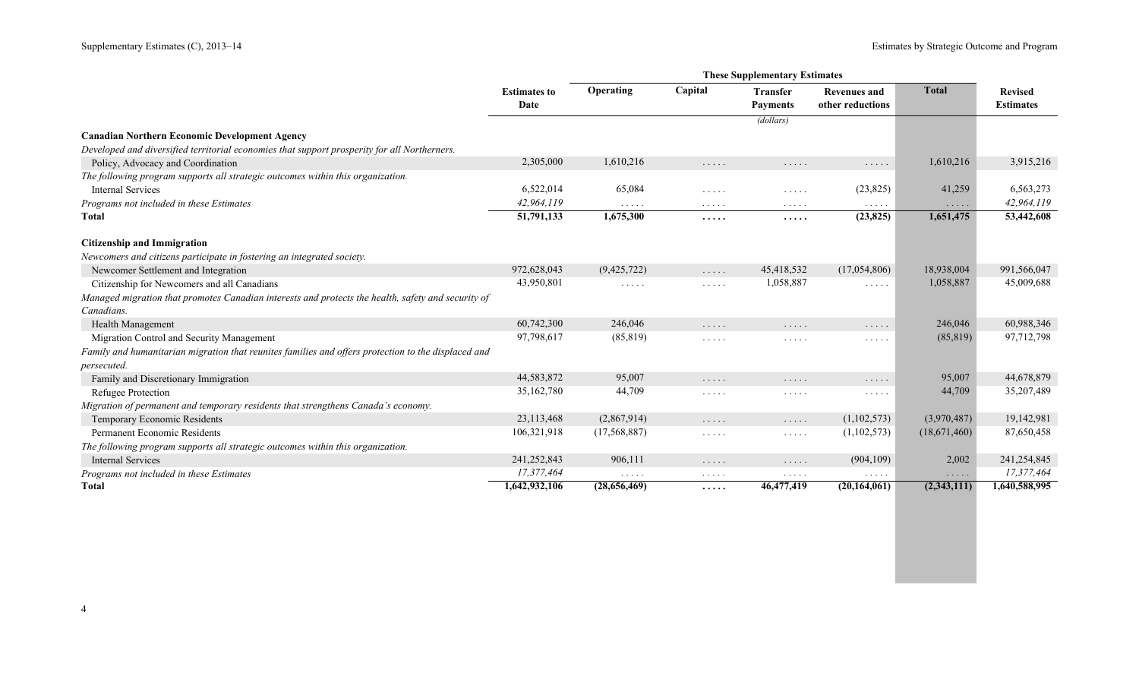r.

|                                                                                                     | <b>Estimates to</b><br>Date | Operating                                 | Capital                                                                                                                                              | <b>Transfer</b><br><b>Payments</b>                                | <b>Revenues and</b><br>other reductions       | <b>Total</b> | <b>Revised</b><br><b>Estimates</b> |
|-----------------------------------------------------------------------------------------------------|-----------------------------|-------------------------------------------|------------------------------------------------------------------------------------------------------------------------------------------------------|-------------------------------------------------------------------|-----------------------------------------------|--------------|------------------------------------|
|                                                                                                     |                             |                                           |                                                                                                                                                      | (dollars)                                                         |                                               |              |                                    |
| <b>Canadian Northern Economic Development Agency</b>                                                |                             |                                           |                                                                                                                                                      |                                                                   |                                               |              |                                    |
| Developed and diversified territorial economies that support prosperity for all Northerners.        |                             |                                           |                                                                                                                                                      |                                                                   |                                               |              |                                    |
| Policy, Advocacy and Coordination                                                                   | 2,305,000                   | 1,610,216                                 | $\ldots$                                                                                                                                             | .                                                                 | $\sim$ $\sim$ $\sim$ $\sim$ $\sim$            | 1,610,216    | 3,915,216                          |
| The following program supports all strategic outcomes within this organization.                     |                             |                                           |                                                                                                                                                      |                                                                   |                                               |              |                                    |
| <b>Internal Services</b>                                                                            | 6,522,014                   | 65,084                                    | .                                                                                                                                                    | .                                                                 | (23, 825)                                     | 41,259       | 6,563,273                          |
| Programs not included in these Estimates                                                            | 42,964,119                  | $\alpha$ , $\alpha$ , $\alpha$ , $\alpha$ | $\cdots$                                                                                                                                             | $\ldots$                                                          | $\sim$ $\sim$ $\sim$ $\sim$ $\sim$            | $\ldots$     | 42,964,119                         |
| <b>T</b> otal                                                                                       | 51,791,133                  | 1,675,300                                 | .                                                                                                                                                    | $\cdots$                                                          | (23, 825)                                     | 1,651,475    | 53,442,608                         |
| <b>Citizenship and Immigration</b>                                                                  |                             |                                           |                                                                                                                                                      |                                                                   |                                               |              |                                    |
| Newcomers and citizens participate in fostering an integrated society.                              |                             |                                           |                                                                                                                                                      |                                                                   |                                               |              |                                    |
| Newcomer Settlement and Integration                                                                 | 972,628,043                 | (9,425,722)                               | 1.1.1.1                                                                                                                                              | 45,418,532                                                        | (17,054,806)                                  | 18,938,004   | 991,566,047                        |
| Citizenship for Newcomers and all Canadians                                                         | 43,950,801                  | $\cdots\cdots\cdots$                      | $\cdots\cdots\cdots$                                                                                                                                 | 1,058,887                                                         | $\mathbb{Z}^n$ . In the set of $\mathbb{Z}^n$ | 1,058,887    | 45,009,688                         |
| Managed migration that promotes Canadian interests and protects the health, safety and security of  |                             |                                           |                                                                                                                                                      |                                                                   |                                               |              |                                    |
| Canadians.                                                                                          |                             |                                           |                                                                                                                                                      |                                                                   |                                               |              |                                    |
| Health Management                                                                                   | 60,742,300                  | 246,046                                   | $\cdots\cdots$                                                                                                                                       | .                                                                 | $\cdots\cdots\cdots$                          | 246,046      | 60,988,346                         |
| Migration Control and Security Management                                                           | 97,798,617                  | (85, 819)                                 | $\sim$ $\sim$ $\sim$ $\sim$ $\sim$                                                                                                                   | $\sim$ $\sim$ $\sim$ $\sim$ $\sim$                                | $\sim$ $\sim$ $\sim$ $\sim$ $\sim$            | (85, 819)    | 97,712,798                         |
| Family and humanitarian migration that reunites families and offers protection to the displaced and |                             |                                           |                                                                                                                                                      |                                                                   |                                               |              |                                    |
| <i>persecuted.</i>                                                                                  |                             |                                           |                                                                                                                                                      |                                                                   |                                               |              |                                    |
| Family and Discretionary Immigration                                                                | 44,583,872                  | 95,007                                    | $\ldots$                                                                                                                                             | .                                                                 | $\cdots\cdots\cdots$                          | 95,007       | 44,678,879                         |
| Refugee Protection                                                                                  | 35,162,780                  | 44,709                                    | .                                                                                                                                                    | .                                                                 | $\sim$ $\sim$ $\sim$ $\sim$ $\sim$            | 44,709       | 35,207,489                         |
| Migration of permanent and temporary residents that strengthens Canada's economy.                   |                             |                                           |                                                                                                                                                      |                                                                   |                                               |              |                                    |
| Temporary Economic Residents                                                                        | 23,113,468                  | (2,867,914)                               | $\ldots$                                                                                                                                             | $\ldots$                                                          | (1,102,573)                                   | (3,970,487)  | 19,142,981                         |
| Permanent Economic Residents                                                                        | 106,321,918                 | (17, 568, 887)                            | $\frac{1}{2} \left( \frac{1}{2} \right) \left( \frac{1}{2} \right) \left( \frac{1}{2} \right) \left( \frac{1}{2} \right) \left( \frac{1}{2} \right)$ | $\mathbb{Z}^n$ . $\mathbb{Z}^n$ , $\mathbb{Z}^n$ , $\mathbb{Z}^n$ | (1,102,573)                                   | (18,671,460) | 87,650,458                         |
| The following program supports all strategic outcomes within this organization.                     |                             |                                           |                                                                                                                                                      |                                                                   |                                               |              |                                    |
| <b>Internal Services</b>                                                                            | 241,252,843                 | 906,111                                   | .                                                                                                                                                    | $\ldots$                                                          | (904, 109)                                    | 2,002        | 241,254,845                        |
| Programs not included in these Estimates                                                            | 17,377,464                  | $\cdots$                                  | $\cdots$                                                                                                                                             | $\cdots\cdots\cdots$                                              | $\cdots$                                      | $\cdots$     | 17,377,464                         |
| <b>Total</b>                                                                                        | 1,642,932,106               | (28,656,469)                              | .                                                                                                                                                    | 46,477,419                                                        | (20, 164, 061)                                | (2,343,111)  | 1,640,588,995                      |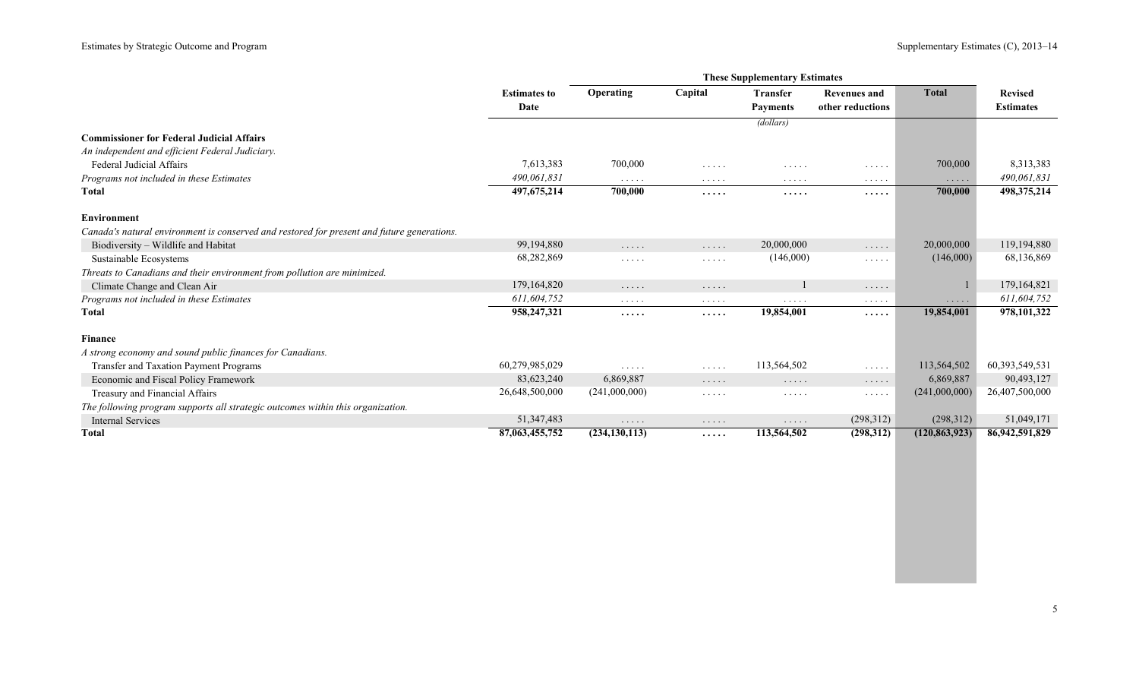|                                                                                            |                     |                                    |                                                        | <b>These Supplementary Estimates</b>      |                                    |                 |                   |
|--------------------------------------------------------------------------------------------|---------------------|------------------------------------|--------------------------------------------------------|-------------------------------------------|------------------------------------|-----------------|-------------------|
|                                                                                            | <b>Estimates to</b> | Operating                          | Capital                                                | <b>Transfer</b>                           | <b>Revenues and</b>                | <b>Total</b>    | <b>Revised</b>    |
|                                                                                            | Date                |                                    |                                                        | <b>Payments</b>                           | other reductions                   |                 | <b>Estimates</b>  |
|                                                                                            |                     |                                    |                                                        | (dollars)                                 |                                    |                 |                   |
| <b>Commissioner for Federal Judicial Affairs</b>                                           |                     |                                    |                                                        |                                           |                                    |                 |                   |
| An independent and efficient Federal Judiciary.                                            |                     |                                    |                                                        |                                           |                                    |                 |                   |
| Federal Judicial Affairs                                                                   | 7,613,383           | 700,000                            | 1.1.1.1                                                | .                                         | .                                  | 700,000         | 8,313,383         |
| Programs not included in these Estimates                                                   | 490,061,831         | $\sim$ $\sim$ $\sim$ $\sim$ $\sim$ | $\cdots$                                               | $\cdots$                                  | $\cdots$                           | $\cdots$        | 490,061,831       |
| <b>Total</b>                                                                               | 497, 675, 214       | 700,000                            | .                                                      | .                                         | .                                  | 700,000         | 498,375,214       |
|                                                                                            |                     |                                    |                                                        |                                           |                                    |                 |                   |
| <b>Environment</b>                                                                         |                     |                                    |                                                        |                                           |                                    |                 |                   |
| Canada's natural environment is conserved and restored for present and future generations. | 99,194,880          |                                    |                                                        | 20,000,000                                |                                    | 20,000,000      | 119,194,880       |
| Biodiversity - Wildlife and Habitat                                                        |                     | $\cdots$                           | $\ldots$                                               |                                           | $\cdots$                           |                 |                   |
| Sustainable Ecosystems                                                                     | 68,282,869          | $\cdot$                            | $\mathcal{L}^{\mathcal{A}}$ . The set of $\mathcal{A}$ | (146,000)                                 | .                                  | (146,000)       | 68,136,869        |
| Threats to Canadians and their environment from pollution are minimized.                   |                     |                                    |                                                        |                                           |                                    |                 |                   |
| Climate Change and Clean Air                                                               | 179,164,820         | $\sim$ $\sim$ $\sim$ $\sim$ $\sim$ | $\cdots$                                               |                                           | $\cdots$                           |                 | 179,164,821       |
| Programs not included in these Estimates                                                   | 611,604,752         | $\sim$ $\sim$ $\sim$ $\sim$ $\sim$ | $\cdots\cdots\cdots$                                   | $\alpha$ , $\alpha$ , $\alpha$ , $\alpha$ | $\cdots$                           | $\cdots$        | 611,604,752       |
| <b>T</b> otal                                                                              | 958,247,321         | .                                  | $\cdots$                                               | 19,854,001                                | .                                  | 19,854,001      | 978,101,322       |
| Finance                                                                                    |                     |                                    |                                                        |                                           |                                    |                 |                   |
| A strong economy and sound public finances for Canadians.                                  |                     |                                    |                                                        |                                           |                                    |                 |                   |
| Transfer and Taxation Payment Programs                                                     | 60,279,985,029      | $\cdot$                            | $\sim$ $\sim$ $\sim$ $\sim$ $\sim$                     | 113,564,502                               | $\sim$ $\sim$ $\sim$ $\sim$ $\sim$ | 113,564,502     | 60, 393, 549, 531 |
| Economic and Fiscal Policy Framework                                                       | 83,623,240          | 6,869,887                          | $\cdots$                                               | $\cdots$                                  | $\cdots$                           | 6,869,887       | 90,493,127        |
| Treasury and Financial Affairs                                                             | 26,648,500,000      | (241,000,000)                      | $\cdots$                                               | $\cdots$                                  | $\cdots\cdots\cdots$               | (241,000,000)   | 26,407,500,000    |
| The following program supports all strategic outcomes within this organization.            |                     |                                    |                                                        |                                           |                                    |                 |                   |
| <b>Internal Services</b>                                                                   | 51, 347, 483        | $\sim$ $\sim$ $\sim$ $\sim$ $\sim$ | $\cdots$                                               | $\cdots$                                  | (298,312)                          | (298,312)       | 51,049,171        |
| Total                                                                                      | 87,063,455,752      | (234, 130, 113)                    | $\cdots$                                               | 113,564,502                               | (298, 312)                         | (120, 863, 923) | 86,942,591,829    |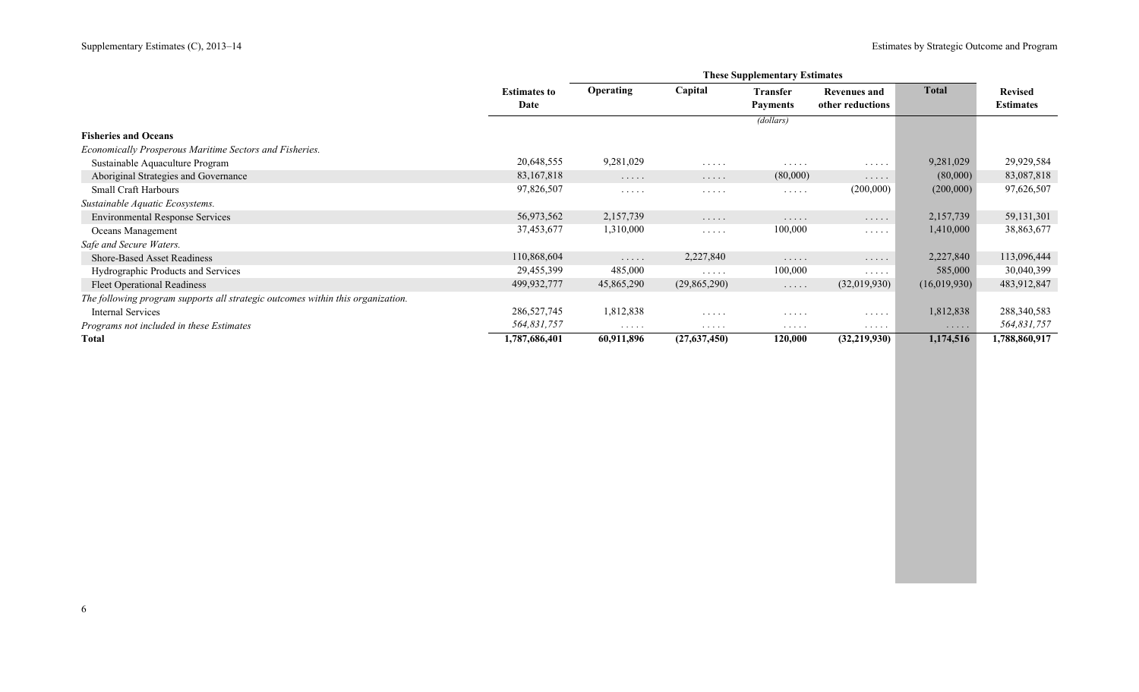|                                                                                 |                     | <b>These Supplementary Estimates</b> |                                    |                 |                     |              |                  |  |  |
|---------------------------------------------------------------------------------|---------------------|--------------------------------------|------------------------------------|-----------------|---------------------|--------------|------------------|--|--|
|                                                                                 | <b>Estimates to</b> | <b>Operating</b>                     | Capital                            | <b>Transfer</b> | <b>Revenues and</b> | <b>Total</b> | <b>Revised</b>   |  |  |
|                                                                                 | Date                |                                      |                                    | <b>Payments</b> | other reductions    |              | <b>Estimates</b> |  |  |
|                                                                                 |                     |                                      |                                    | (dollars)       |                     |              |                  |  |  |
| <b>Fisheries and Oceans</b>                                                     |                     |                                      |                                    |                 |                     |              |                  |  |  |
| Economically Prosperous Maritime Sectors and Fisheries.                         |                     |                                      |                                    |                 |                     |              |                  |  |  |
| Sustainable Aquaculture Program                                                 | 20,648,555          | 9,281,029                            | .                                  | .               | $\cdots$            | 9,281,029    | 29,929,584       |  |  |
| Aboriginal Strategies and Governance                                            | 83, 167, 818        | $\ldots$                             | $\cdots\cdots\cdots$               | (80,000)        | .                   | (80,000)     | 83,087,818       |  |  |
| <b>Small Craft Harbours</b>                                                     | 97,826,507          | $\cdots\cdots\cdots$                 | .                                  | $\cdots$        | (200,000)           | (200,000)    | 97,626,507       |  |  |
| Sustainable Aquatic Ecosystems.                                                 |                     |                                      |                                    |                 |                     |              |                  |  |  |
| <b>Environmental Response Services</b>                                          | 56,973,562          | 2,157,739                            | .                                  | .               | .                   | 2,157,739    | 59,131,301       |  |  |
| Oceans Management                                                               | 37,453,677          | 1,310,000                            | $\cdots$                           | 100,000         | .                   | 1,410,000    | 38,863,677       |  |  |
| Safe and Secure Waters.                                                         |                     |                                      |                                    |                 |                     |              |                  |  |  |
| <b>Shore-Based Asset Readiness</b>                                              | 110,868,604         | $\ldots$                             | 2,227,840                          | .               | .                   | 2,227,840    | 113,096,444      |  |  |
| Hydrographic Products and Services                                              | 29,455,399          | 485,000                              | $\sim$ $\sim$ $\sim$ $\sim$ $\sim$ | 100,000         |                     | 585,000      | 30,040,399       |  |  |
| <b>Fleet Operational Readiness</b>                                              | 499,932,777         | 45,865,290                           | (29,865,290)                       | $\cdots$        | (32,019,930)        | (16,019,930) | 483,912,847      |  |  |
| The following program supports all strategic outcomes within this organization. |                     |                                      |                                    |                 |                     |              |                  |  |  |
| Internal Services                                                               | 286,527,745         | 1,812,838                            | $\cdots$                           | $\cdots$        | $\cdots$            | 1,812,838    | 288, 340, 583    |  |  |
| Programs not included in these Estimates                                        | 564,831,757         | $\cdots$                             | .                                  | .               | .                   | .            | 564,831,757      |  |  |
| Total                                                                           | 1,787,686,401       | 60,911,896                           | (27,637,450)                       | 120,000         | (32, 219, 930)      | 1,174,516    | 1,788,860,917    |  |  |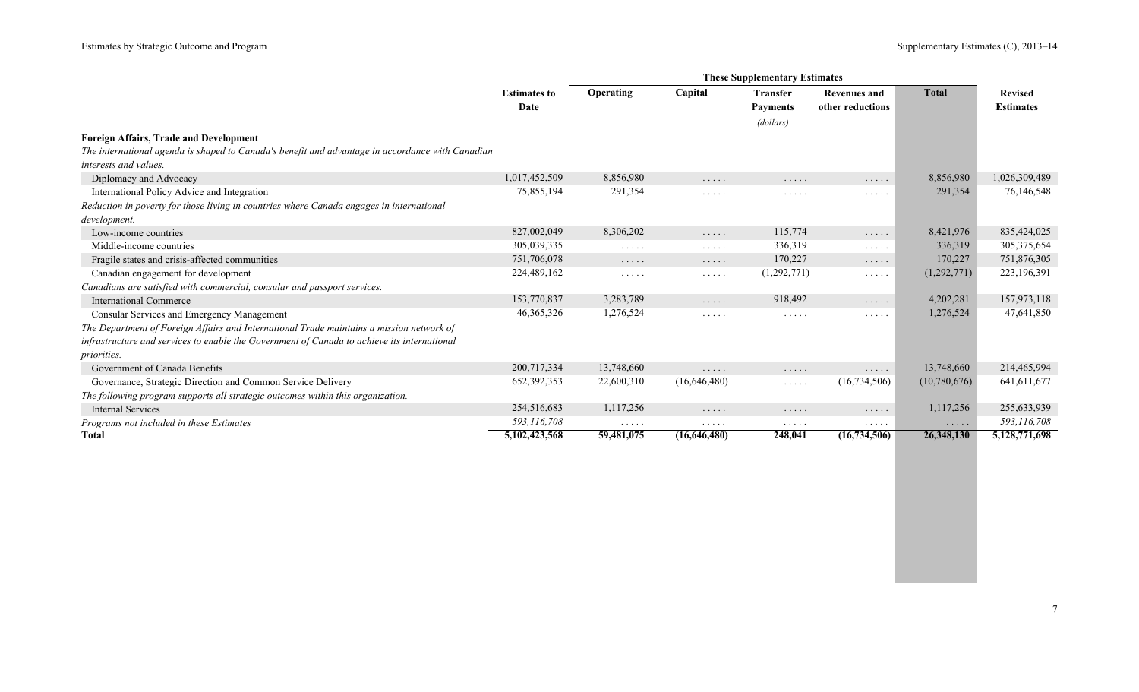|                                                                                                  |                     |                                    |              | <b>These Supplementary Estimates</b> |                                                        |              |                  |
|--------------------------------------------------------------------------------------------------|---------------------|------------------------------------|--------------|--------------------------------------|--------------------------------------------------------|--------------|------------------|
|                                                                                                  | <b>Estimates to</b> | Operating                          | Capital      | <b>Transfer</b>                      | <b>Revenues and</b>                                    | <b>Total</b> | <b>Revised</b>   |
|                                                                                                  | Date                |                                    |              | <b>Payments</b>                      | other reductions                                       |              | <b>Estimates</b> |
|                                                                                                  |                     |                                    |              | (dollars)                            |                                                        |              |                  |
| <b>Foreign Affairs, Trade and Development</b>                                                    |                     |                                    |              |                                      |                                                        |              |                  |
| The international agenda is shaped to Canada's benefit and advantage in accordance with Canadian |                     |                                    |              |                                      |                                                        |              |                  |
| interests and values.                                                                            |                     |                                    |              |                                      |                                                        |              |                  |
| Diplomacy and Advocacy                                                                           | 1,017,452,509       | 8,856,980                          | .            | .                                    | $\cdots$                                               | 8,856,980    | 1,026,309,489    |
| International Policy Advice and Integration                                                      | 75,855,194          | 291,354                            | $\cdots$     | $\cdots$                             | $\cdots$                                               | 291,354      | 76,146,548       |
| Reduction in poverty for those living in countries where Canada engages in international         |                     |                                    |              |                                      |                                                        |              |                  |
| development.                                                                                     |                     |                                    |              |                                      |                                                        |              |                  |
| Low-income countries                                                                             | 827,002,049         | 8,306,202                          | $\ldots$     | 115,774                              | $\sim$ $\sim$ $\sim$ $\sim$ $\sim$                     | 8,421,976    | 835,424,025      |
| Middle-income countries                                                                          | 305,039,335         | $\sim$ $\sim$ $\sim$ $\sim$ $\sim$ | $\cdots$     | 336,319                              | $\mathcal{L}^{\mathcal{A}}$ . The set of $\mathcal{A}$ | 336,319      | 305, 375, 654    |
| Fragile states and crisis-affected communities                                                   | 751,706,078         | $\cdots$                           | $\cdots$     | 170,227                              | $\cdots$                                               | 170,227      | 751,876,305      |
| Canadian engagement for development                                                              | 224,489,162         | $\cdots\cdots\cdots$               | $\cdots$     | (1,292,771)                          | $\cdots \cdots \cdots$                                 | (1,292,771)  | 223,196,391      |
| Canadians are satisfied with commercial, consular and passport services.                         |                     |                                    |              |                                      |                                                        |              |                  |
| <b>International Commerce</b>                                                                    | 153,770,837         | 3,283,789                          | $\ldots$     | 918,492                              | $\ldots$                                               | 4,202,281    | 157,973,118      |
| Consular Services and Emergency Management                                                       | 46, 365, 326        | 1,276,524                          | $\cdots$     | $\cdots$                             | $\cdots$                                               | 1,276,524    | 47,641,850       |
| The Department of Foreign Affairs and International Trade maintains a mission network of         |                     |                                    |              |                                      |                                                        |              |                  |
| infrastructure and services to enable the Government of Canada to achieve its international      |                     |                                    |              |                                      |                                                        |              |                  |
| <i>priorities.</i>                                                                               |                     |                                    |              |                                      |                                                        |              |                  |
| Government of Canada Benefits                                                                    | 200,717,334         | 13,748,660                         | $\cdots$     | $\cdots$                             | $\cdots$                                               | 13,748,660   | 214,465,994      |
| Governance, Strategic Direction and Common Service Delivery                                      | 652,392,353         | 22,600,310                         | (16,646,480) | $\sim$ $\sim$ $\sim$ $\sim$ $\sim$   | (16, 734, 506)                                         | (10,780,676) | 641, 611, 677    |
| The following program supports all strategic outcomes within this organization.                  |                     |                                    |              |                                      |                                                        |              |                  |
| <b>Internal Services</b>                                                                         | 254,516,683         | 1,117,256                          | $\cdots$     | $\cdots$                             | $\cdots$                                               | 1,117,256    | 255,633,939      |
| Programs not included in these Estimates                                                         | 593,116,708         | $\cdots$                           | $\cdots$     | $\cdots$                             | $\cdots$                                               | .            | 593,116,708      |
| <b>Total</b>                                                                                     | 5,102,423,568       | 59,481,075                         | (16,646,480) | 248,041                              | (16,734,506)                                           | 26,348,130   | 5,128,771,698    |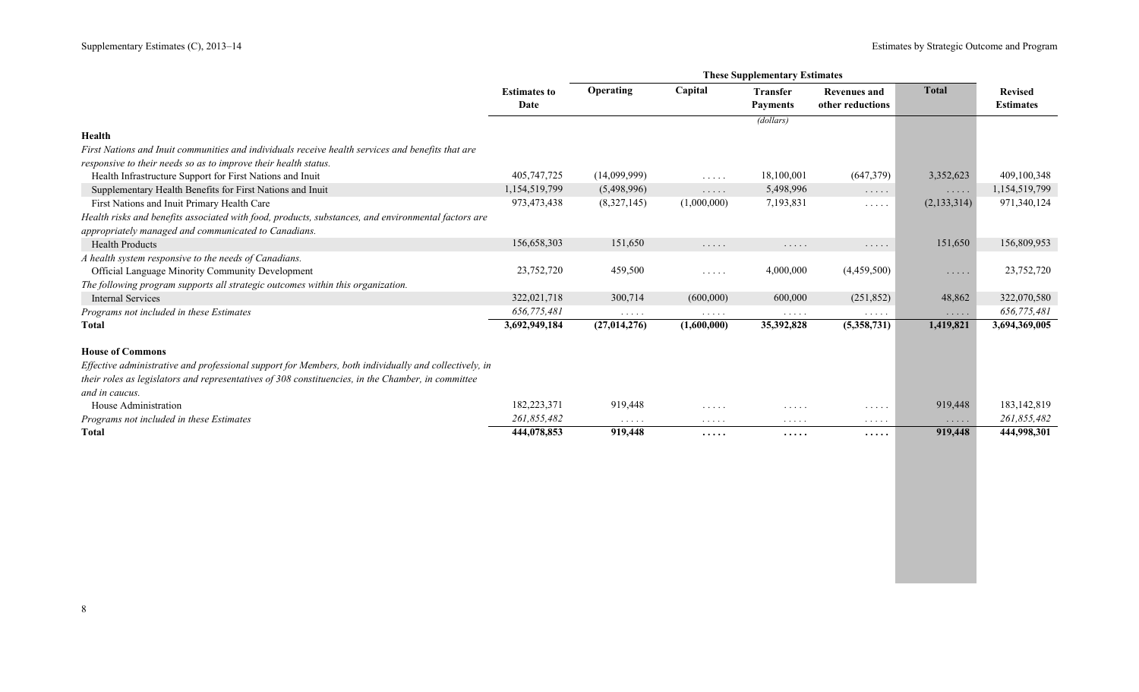|                                                                                                       | <b>These Supplementary Estimates</b> |                |                                    |                                    |                                    |               |                  |
|-------------------------------------------------------------------------------------------------------|--------------------------------------|----------------|------------------------------------|------------------------------------|------------------------------------|---------------|------------------|
|                                                                                                       | <b>Estimates to</b>                  | Operating      | Capital                            | <b>Transfer</b>                    | Revenues and                       | <b>Total</b>  | <b>Revised</b>   |
|                                                                                                       | Date                                 |                |                                    | <b>Payments</b>                    | other reductions                   |               | <b>Estimates</b> |
|                                                                                                       |                                      |                |                                    | (dollars)                          |                                    |               |                  |
| Health                                                                                                |                                      |                |                                    |                                    |                                    |               |                  |
| First Nations and Inuit communities and individuals receive health services and benefits that are     |                                      |                |                                    |                                    |                                    |               |                  |
| responsive to their needs so as to improve their health status.                                       |                                      |                |                                    |                                    |                                    |               |                  |
| Health Infrastructure Support for First Nations and Inuit                                             | 405,747,725                          | (14,099,999)   | 1.1.1.1                            | 18,100,001                         | (647,379)                          | 3,352,623     | 409,100,348      |
| Supplementary Health Benefits for First Nations and Inuit                                             | 1,154,519,799                        | (5,498,996)    | .                                  | 5,498,996                          | $\cdots$                           | .             | 1,154,519,799    |
| First Nations and Inuit Primary Health Care                                                           | 973,473,438                          | (8,327,145)    | (1,000,000)                        | 7,193,831                          | $\sim$ $\sim$ $\sim$ $\sim$ $\sim$ | (2, 133, 314) | 971,340,124      |
| Health risks and benefits associated with food, products, substances, and environmental factors are   |                                      |                |                                    |                                    |                                    |               |                  |
| appropriately managed and communicated to Canadians.                                                  |                                      |                |                                    |                                    |                                    |               |                  |
| <b>Health Products</b>                                                                                | 156,658,303                          | 151,650        | $\cdots$                           | $\cdots\cdots$                     | $\cdots$                           | 151,650       | 156,809,953      |
| A health system responsive to the needs of Canadians.                                                 |                                      |                |                                    |                                    |                                    |               |                  |
| Official Language Minority Community Development                                                      | 23,752,720                           | 459,500        | $\sim$ $\sim$ $\sim$ $\sim$ $\sim$ | 4,000,000                          | (4,459,500)                        | $\cdots$      | 23,752,720       |
| The following program supports all strategic outcomes within this organization.                       |                                      |                |                                    |                                    |                                    |               |                  |
| <b>Internal Services</b>                                                                              | 322,021,718                          | 300,714        | (600,000)                          | 600,000                            | (251, 852)                         | 48,862        | 322,070,580      |
| Programs not included in these Estimates                                                              | 656,775,481                          | $\cdots$       | $\cdots$                           | $\sim$ $\sim$ $\sim$ $\sim$ $\sim$ | $\cdots$                           | $\cdots$      | 656,775,481      |
| Total                                                                                                 | 3,692,949,184                        | (27, 014, 276) | (1,600,000)                        | 35,392,828                         | (5,358,731)                        | 1,419,821     | 3,694,369,005    |
| <b>House of Commons</b>                                                                               |                                      |                |                                    |                                    |                                    |               |                  |
| Effective administrative and professional support for Members, both individually and collectively, in |                                      |                |                                    |                                    |                                    |               |                  |
| their roles as legislators and representatives of 308 constituencies, in the Chamber, in committee    |                                      |                |                                    |                                    |                                    |               |                  |
| and in caucus.                                                                                        |                                      |                |                                    |                                    |                                    |               |                  |
| House Administration                                                                                  | 182,223,371                          | 919,448        | $\cdots$                           | $\cdots$                           | $\cdots$                           | 919,448       | 183, 142, 819    |
| Programs not included in these Estimates                                                              | 261,855,482                          | $\cdots$       | $\cdots$                           | $\cdots$                           | $\cdots$                           | $\cdots$      | 261,855,482      |
| <b>Total</b>                                                                                          | 444,078,853                          | 919,448        | .                                  | $\cdots\cdots$                     | .                                  | 919,448       | 444,998,301      |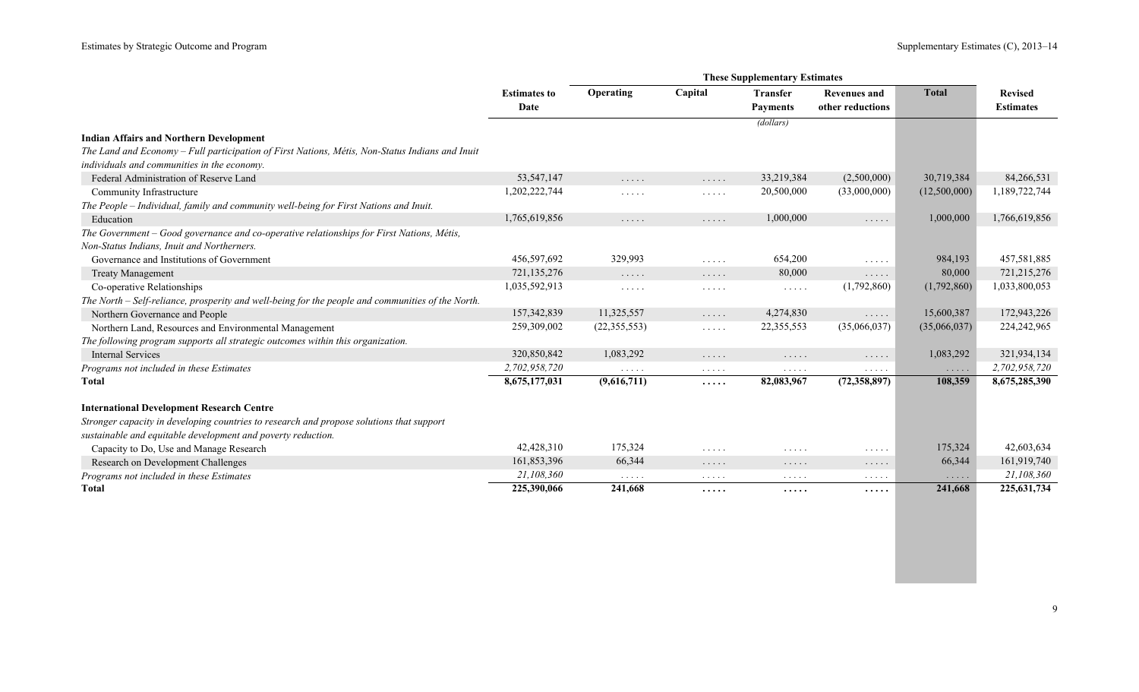|                                                                                                   |                     | <b>These Supplementary Estimates</b> |                                                        |                                    |                                        |                                    |                  |  |  |
|---------------------------------------------------------------------------------------------------|---------------------|--------------------------------------|--------------------------------------------------------|------------------------------------|----------------------------------------|------------------------------------|------------------|--|--|
|                                                                                                   | <b>Estimates to</b> | Operating                            | Capital                                                | <b>Transfer</b>                    | <b>Revenues and</b>                    | <b>Total</b>                       | <b>Revised</b>   |  |  |
|                                                                                                   | Date                |                                      |                                                        | <b>Payments</b>                    | other reductions                       |                                    | <b>Estimates</b> |  |  |
|                                                                                                   |                     |                                      |                                                        | (dollars)                          |                                        |                                    |                  |  |  |
| <b>Indian Affairs and Northern Development</b>                                                    |                     |                                      |                                                        |                                    |                                        |                                    |                  |  |  |
| The Land and Economy – Full participation of First Nations, Métis, Non-Status Indians and Inuit   |                     |                                      |                                                        |                                    |                                        |                                    |                  |  |  |
| individuals and communities in the economy.                                                       |                     |                                      |                                                        |                                    |                                        |                                    |                  |  |  |
| Federal Administration of Reserve Land                                                            | 53, 547, 147        | $\ldots$                             | $\ldots$                                               | 33,219,384                         | (2,500,000)                            | 30,719,384                         | 84,266,531       |  |  |
| Community Infrastructure                                                                          | 1,202,222,744       | $\sim$ $\sim$ $\sim$ $\sim$ $\sim$   | $\mathbb{Z}^n$ . $\mathbb{Z}^n$ , $\mathbb{Z}^n$       | 20,500,000                         | (33,000,000)                           | (12,500,000)                       | 1,189,722,744    |  |  |
| The People - Individual, family and community well-being for First Nations and Inuit.             |                     |                                      |                                                        |                                    |                                        |                                    |                  |  |  |
| Education                                                                                         | 1,765,619,856       | $\cdots$                             | $\ldots$                                               | 1,000,000                          | $\ldots$                               | 1,000,000                          | 1,766,619,856    |  |  |
| The Government – Good governance and co-operative relationships for First Nations, Métis,         |                     |                                      |                                                        |                                    |                                        |                                    |                  |  |  |
| Non-Status Indians, Inuit and Northerners.                                                        |                     |                                      |                                                        |                                    |                                        |                                    |                  |  |  |
| Governance and Institutions of Government                                                         | 456,597,692         | 329,993                              | $\ldots$                                               | 654,200                            | $\mathbb{Z}^2$ . In the $\mathbb{Z}^2$ | 984,193                            | 457,581,885      |  |  |
| <b>Treaty Management</b>                                                                          | 721,135,276         | $\ldots$                             | .                                                      | 80,000                             | $\ldots$                               | 80,000                             | 721,215,276      |  |  |
| Co-operative Relationships                                                                        | 1,035,592,913       | $\cdots\cdots\cdots$                 | $\cdots \cdots \cdots$                                 | $\sim$ $\sim$ $\sim$ $\sim$ $\sim$ | (1,792,860)                            | (1,792,860)                        | 1,033,800,053    |  |  |
| The North – Self-reliance, prosperity and well-being for the people and communities of the North. |                     |                                      |                                                        |                                    |                                        |                                    |                  |  |  |
| Northern Governance and People                                                                    | 157,342,839         | 11,325,557                           | 1.1.1.1                                                | 4,274,830                          | 1.1.1.1                                | 15,600,387                         | 172,943,226      |  |  |
| Northern Land, Resources and Environmental Management                                             | 259,309,002         | (22, 355, 553)                       | $\sim$ $\sim$ $\sim$ $\sim$ $\sim$                     | 22,355,553                         | (35,066,037)                           | (35,066,037)                       | 224, 242, 965    |  |  |
| The following program supports all strategic outcomes within this organization.                   |                     |                                      |                                                        |                                    |                                        |                                    |                  |  |  |
| <b>Internal Services</b>                                                                          | 320,850,842         | 1,083,292                            | $\sim$ $\sim$ $\sim$ $\sim$ $\sim$                     | $\cdots$                           | $\cdots$                               | 1,083,292                          | 321,934,134      |  |  |
| Programs not included in these Estimates                                                          | 2,702,958,720       | .                                    | $\cdots$                                               | $\cdots$                           | $\cdots$                               | $\sim$ $\sim$ $\sim$ $\sim$ $\sim$ | 2,702,958,720    |  |  |
| <b>Total</b>                                                                                      | 8,675,177,031       | (9,616,711)                          | .                                                      | 82,083,967                         | (72,358,897)                           | 108,359                            | 8,675,285,390    |  |  |
| <b>International Development Research Centre</b>                                                  |                     |                                      |                                                        |                                    |                                        |                                    |                  |  |  |
| Stronger capacity in developing countries to research and propose solutions that support          |                     |                                      |                                                        |                                    |                                        |                                    |                  |  |  |
| sustainable and equitable development and poverty reduction.                                      |                     |                                      |                                                        |                                    |                                        |                                    |                  |  |  |
| Capacity to Do, Use and Manage Research                                                           | 42,428,310          | 175,324                              | $\mathcal{L}^{\mathcal{A}}$ . The set of $\mathcal{A}$ | .                                  | $\cdots \cdots \cdots$                 | 175,324                            | 42,603,634       |  |  |
| Research on Development Challenges                                                                | 161,853,396         | 66,344                               | $\cdots\cdots\cdots$                                   | $\cdots\cdots\cdots$               | $\cdots\cdots\cdots$                   | 66,344                             | 161,919,740      |  |  |
| Programs not included in these Estimates                                                          | 21,108,360          | $\sim$ $\sim$ $\sim$ $\sim$ $\sim$   | $\ldots$                                               | $\sim$ $\sim$ $\sim$ $\sim$ $\sim$ | $\sim$ $\sim$ $\sim$ $\sim$ $\sim$     | $\sim$ $\sim$ $\sim$ $\sim$ $\sim$ | 21,108,360       |  |  |
| <b>Total</b>                                                                                      | 225,390,066         | 241,668                              | .                                                      | .                                  | $\cdots\cdots$                         | 241,668                            | 225, 631, 734    |  |  |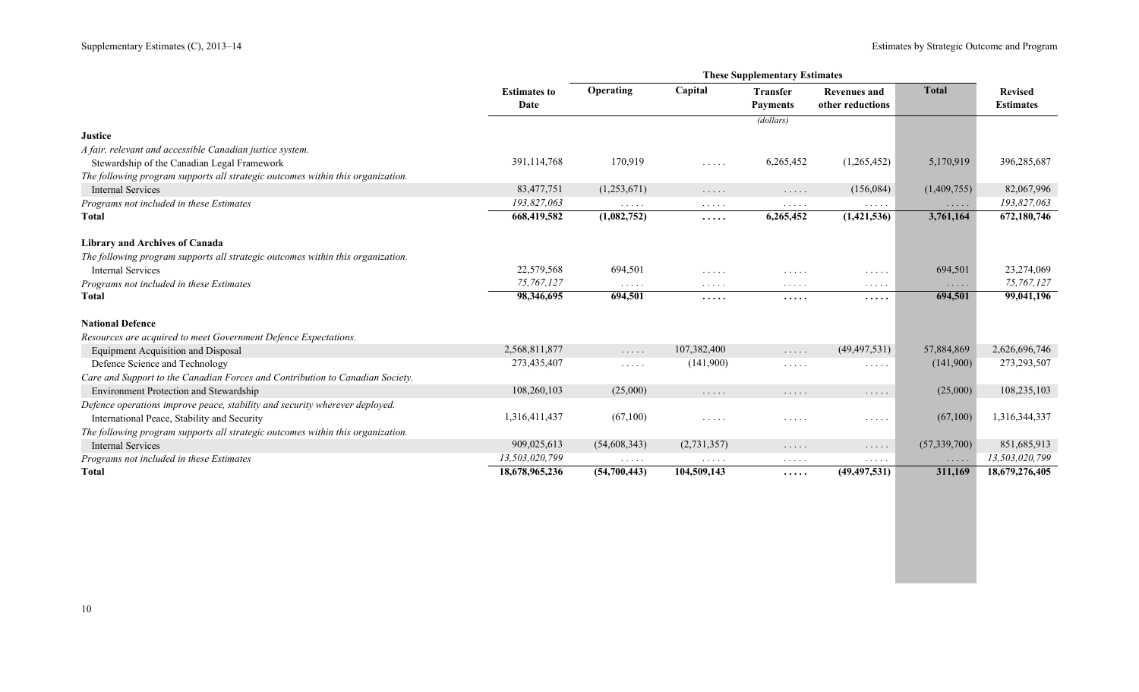|                                                                                 |                             |                                                                                                                 |                                                                   | <b>These Supplementary Estimates</b> |                                         |                      |                                    |
|---------------------------------------------------------------------------------|-----------------------------|-----------------------------------------------------------------------------------------------------------------|-------------------------------------------------------------------|--------------------------------------|-----------------------------------------|----------------------|------------------------------------|
|                                                                                 | <b>Estimates to</b><br>Date | Operating                                                                                                       | Capital                                                           | <b>Transfer</b><br><b>Payments</b>   | <b>Revenues and</b><br>other reductions | <b>Total</b>         | <b>Revised</b><br><b>Estimates</b> |
|                                                                                 |                             |                                                                                                                 |                                                                   | (dollars)                            |                                         |                      |                                    |
| <b>Justice</b>                                                                  |                             |                                                                                                                 |                                                                   |                                      |                                         |                      |                                    |
| A fair, relevant and accessible Canadian justice system.                        |                             |                                                                                                                 |                                                                   |                                      |                                         |                      |                                    |
| Stewardship of the Canadian Legal Framework                                     | 391,114,768                 | 170,919                                                                                                         | $\mathbb{Z}^n$ . $\mathbb{Z}^n$ , $\mathbb{Z}^n$ , $\mathbb{Z}^n$ | 6,265,452                            | (1,265,452)                             | 5,170,919            | 396,285,687                        |
| The following program supports all strategic outcomes within this organization. |                             |                                                                                                                 |                                                                   |                                      |                                         |                      |                                    |
| <b>Internal Services</b>                                                        | 83,477,751                  | (1,253,671)                                                                                                     | $\cdots\cdots\cdots$                                              | $\cdots\cdots\cdots$                 | (156,084)                               | (1,409,755)          | 82,067,996                         |
| Programs not included in these Estimates                                        | 193,827,063                 | $\mathcal{L}^{\mathcal{A}}$ , and $\mathcal{L}^{\mathcal{A}}$ , and                                             | $\cdots$                                                          | $\cdots$                             | $\cdots$                                | $\cdots$             | 193,827,063                        |
| <b>Total</b>                                                                    | 668,419,582                 | (1,082,752)                                                                                                     | .                                                                 | 6,265,452                            | (1,421,536)                             | 3,761,164            | 672,180,746                        |
| <b>Library and Archives of Canada</b>                                           |                             |                                                                                                                 |                                                                   |                                      |                                         |                      |                                    |
| The following program supports all strategic outcomes within this organization. |                             |                                                                                                                 |                                                                   |                                      |                                         |                      |                                    |
| Internal Services                                                               | 22,579,568                  | 694,501                                                                                                         | $\mathcal{L}^{\mathcal{A}}$ . The set of $\mathcal{A}$            | $\cdots$                             | $\sim$ $\sim$ $\sim$ $\sim$ $\sim$      | 694,501              | 23,274,069                         |
| Programs not included in these Estimates                                        | 75,767,127                  | .                                                                                                               | $\cdots$                                                          | $\cdots$                             | $\sim$ $\sim$ $\sim$ $\sim$ $\sim$      | $\cdots\cdots\cdots$ | 75,767,127                         |
| Total                                                                           | 98,346,695                  | 694,501                                                                                                         | .                                                                 | .                                    | .                                       | 694,501              | 99,041,196                         |
| <b>National Defence</b>                                                         |                             |                                                                                                                 |                                                                   |                                      |                                         |                      |                                    |
| Resources are acquired to meet Government Defence Expectations.                 |                             |                                                                                                                 |                                                                   |                                      |                                         |                      |                                    |
| <b>Equipment Acquisition and Disposal</b>                                       | 2,568,811,877               | $\ldots$                                                                                                        | 107,382,400                                                       | .                                    | (49, 497, 531)                          | 57,884,869           | 2,626,696,746                      |
| Defence Science and Technology                                                  | 273,435,407                 | $\cdots$                                                                                                        | (141,900)                                                         | .                                    | .                                       | (141,900)            | 273,293,507                        |
| Care and Support to the Canadian Forces and Contribution to Canadian Society.   |                             |                                                                                                                 |                                                                   |                                      |                                         |                      |                                    |
| Environment Protection and Stewardship                                          | 108,260,103                 | (25,000)                                                                                                        | $\ldots$                                                          | $\cdots$                             | $\cdots$                                | (25,000)             | 108,235,103                        |
| Defence operations improve peace, stability and security wherever deployed.     |                             |                                                                                                                 |                                                                   |                                      |                                         |                      |                                    |
| International Peace, Stability and Security                                     | 1,316,411,437               | (67,100)                                                                                                        | $\mathcal{L}^{\mathcal{A}}$ . The set of $\mathcal{A}$            | $\cdots$                             | $\sim$ $\sim$ $\sim$ $\sim$ $\sim$      | (67,100)             | 1,316,344,337                      |
| The following program supports all strategic outcomes within this organization. |                             |                                                                                                                 |                                                                   |                                      |                                         |                      |                                    |
| <b>Internal Services</b>                                                        | 909,025,613                 | (54,608,343)                                                                                                    | (2,731,357)                                                       | .                                    | $\cdots$                                | (57, 339, 700)       | 851,685,913                        |
| Programs not included in these Estimates                                        | 13,503,020,799              | $\begin{array}{cccccccccccccc} \bullet & \bullet & \bullet & \bullet & \bullet & \bullet & \bullet \end{array}$ | $\cdots\cdots\cdots$                                              | $\cdots\cdots\cdots$                 | $\cdots$                                | $\cdots$             | 13,503,020,799                     |
| <b>Total</b>                                                                    | 18,678,965,236              | (54,700,443)                                                                                                    | 104,509,143                                                       | .                                    | (49, 497, 531)                          | 311,169              | 18,679,276,405                     |
|                                                                                 |                             |                                                                                                                 |                                                                   |                                      |                                         |                      |                                    |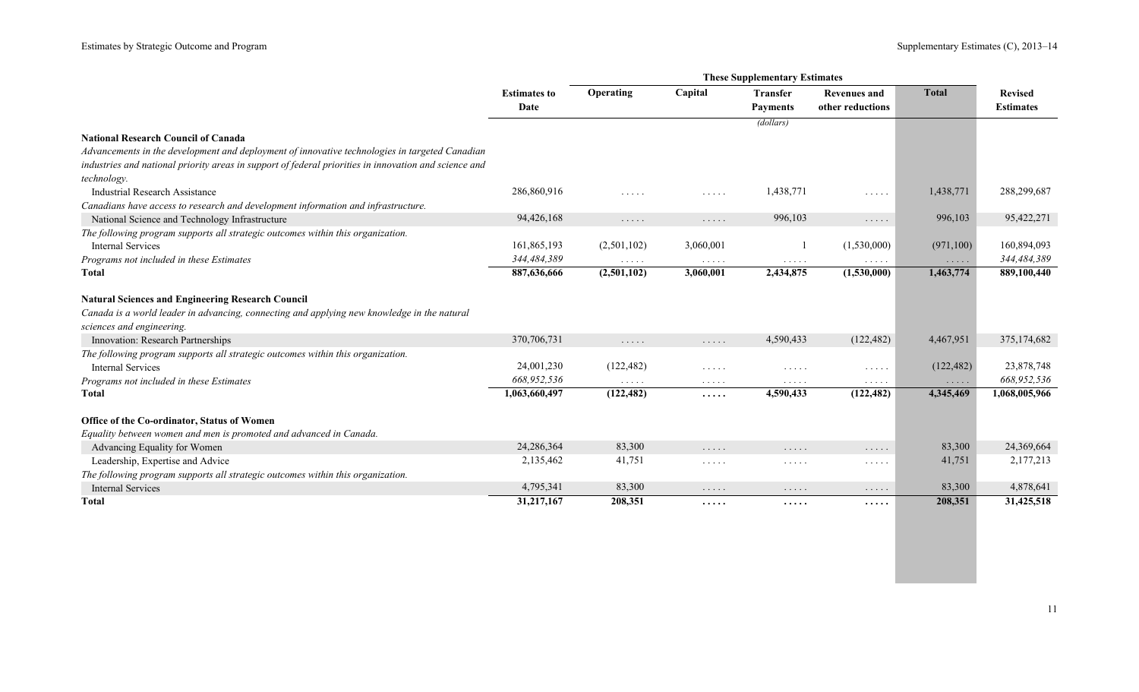|                                                                                                       |                     |                                           |                                    | <b>These Supplementary Estimates</b>      |                                                  |              |                  |
|-------------------------------------------------------------------------------------------------------|---------------------|-------------------------------------------|------------------------------------|-------------------------------------------|--------------------------------------------------|--------------|------------------|
|                                                                                                       | <b>Estimates to</b> | Operating                                 | Capital                            | <b>Transfer</b>                           | <b>Revenues and</b>                              | <b>Total</b> | <b>Revised</b>   |
|                                                                                                       | Date                |                                           |                                    | <b>Payments</b>                           | other reductions                                 |              | <b>Estimates</b> |
|                                                                                                       |                     |                                           |                                    | (dollars)                                 |                                                  |              |                  |
| <b>National Research Council of Canada</b>                                                            |                     |                                           |                                    |                                           |                                                  |              |                  |
| Advancements in the development and deployment of innovative technologies in targeted Canadian        |                     |                                           |                                    |                                           |                                                  |              |                  |
| industries and national priority areas in support of federal priorities in innovation and science and |                     |                                           |                                    |                                           |                                                  |              |                  |
| technology.                                                                                           |                     |                                           |                                    |                                           |                                                  |              |                  |
| <b>Industrial Research Assistance</b>                                                                 | 286,860,916         | 1.1.1.1                                   | $\sim$ $\sim$ $\sim$ $\sim$ $\sim$ | 1,438,771                                 | $\sim$ $\sim$ $\sim$ $\sim$ $\sim$               | 1,438,771    | 288,299,687      |
| Canadians have access to research and development information and infrastructure.                     |                     |                                           |                                    |                                           |                                                  |              |                  |
| National Science and Technology Infrastructure                                                        | 94,426,168          | $\dots$                                   | $\ldots$                           | 996,103                                   | $\cdots$                                         | 996,103      | 95,422,271       |
| The following program supports all strategic outcomes within this organization.                       |                     |                                           |                                    |                                           |                                                  |              |                  |
| Internal Services                                                                                     | 161,865,193         | (2,501,102)                               | 3,060,001                          |                                           | (1,530,000)                                      | (971, 100)   | 160,894,093      |
| Programs not included in these Estimates                                                              | 344,484,389         | $\sim$ $\sim$ $\sim$ $\sim$ $\sim$        | $\sim$ $\sim$ $\sim$ $\sim$ $\sim$ | $\ldots$                                  | .                                                | $\cdots$     | 344,484,389      |
| <b>Total</b>                                                                                          | 887,636,666         | (2,501,102)                               | 3,060,001                          | 2,434,875                                 | (1,530,000)                                      | 1,463,774    | 889,100,440      |
| <b>Natural Sciences and Engineering Research Council</b>                                              |                     |                                           |                                    |                                           |                                                  |              |                  |
| Canada is a world leader in advancing, connecting and applying new knowledge in the natural           |                     |                                           |                                    |                                           |                                                  |              |                  |
| sciences and engineering.                                                                             |                     |                                           |                                    |                                           |                                                  |              |                  |
| Innovation: Research Partnerships                                                                     | 370,706,731         | $\sim$ $\sim$ $\sim$ $\sim$ $\sim$        | $\sim$ $\sim$ $\sim$ $\sim$ $\sim$ | 4,590,433                                 | (122, 482)                                       | 4,467,951    | 375,174,682      |
| The following program supports all strategic outcomes within this organization.                       |                     |                                           |                                    |                                           |                                                  |              |                  |
| <b>Internal Services</b>                                                                              | 24,001,230          | (122, 482)                                | $\sim$ $\sim$ $\sim$ $\sim$ $\sim$ | $\cdots$                                  | $\sim$ $\sim$ $\sim$ $\sim$ $\sim$               | (122, 482)   | 23,878,748       |
| Programs not included in these Estimates                                                              | 668,952,536         | $\alpha$ , $\alpha$ , $\alpha$ , $\alpha$ | $\sim$ $\sim$ $\sim$ $\sim$ $\sim$ | $\alpha$ , $\alpha$ , $\alpha$ , $\alpha$ | $\mathbb{Z}^n$ . $\mathbb{Z}^n$ , $\mathbb{Z}^n$ | $\ldots$     | 668,952,536      |
| <b>Total</b>                                                                                          | 1,063,660,497       | (122, 482)                                | $\cdots$                           | 4,590,433                                 | (122, 482)                                       | 4,345,469    | 1,068,005,966    |
| Office of the Co-ordinator, Status of Women                                                           |                     |                                           |                                    |                                           |                                                  |              |                  |
| Equality between women and men is promoted and advanced in Canada.                                    |                     |                                           |                                    |                                           |                                                  |              |                  |
| Advancing Equality for Women                                                                          | 24,286,364          | 83,300                                    | .                                  | $\sim$ $\sim$ $\sim$ $\sim$ $\sim$        | $\cdots$                                         | 83,300       | 24,369,664       |
| Leadership, Expertise and Advice                                                                      | 2,135,462           | 41,751                                    | $\cdots$                           | $\sim$ $\sim$ $\sim$ $\sim$ $\sim$        | $\cdots$                                         | 41,751       | 2,177,213        |
| The following program supports all strategic outcomes within this organization.                       |                     |                                           |                                    |                                           |                                                  |              |                  |
| <b>Internal Services</b>                                                                              | 4,795,341           | 83,300                                    | $\ldots$                           | $\cdots$                                  | $\cdots\cdots\cdots$                             | 83,300       | 4,878,641        |
| Total                                                                                                 | 31,217,167          | 208,351                                   | .                                  | $\cdots$                                  | .                                                | 208,351      | 31,425,518       |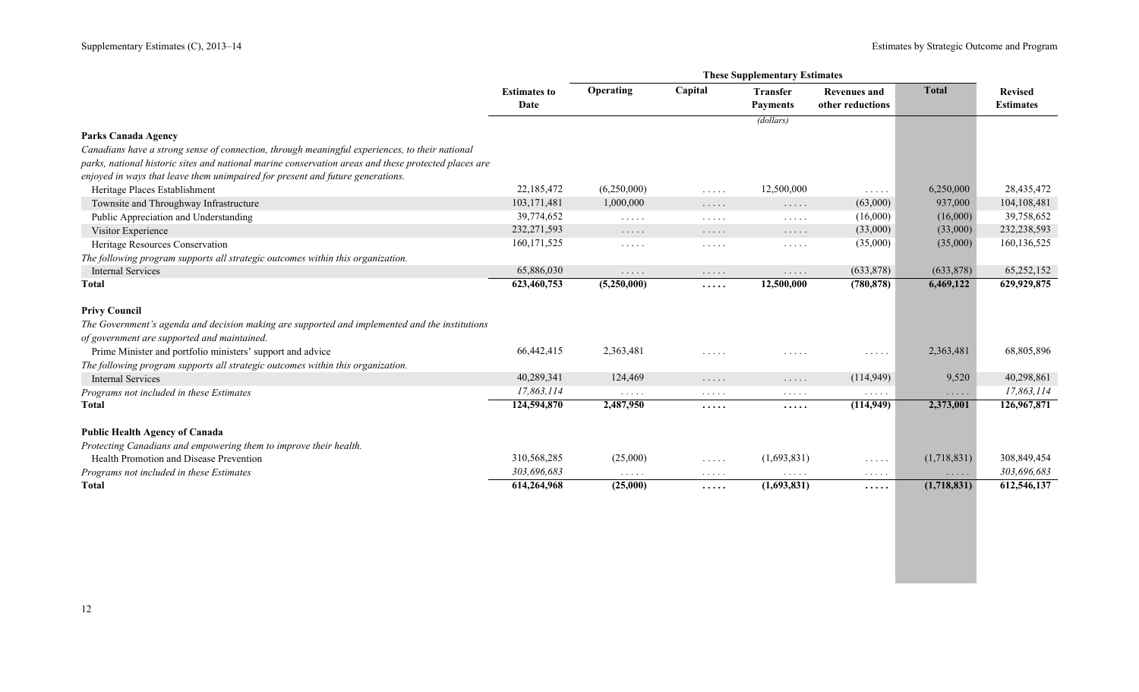|                                                                                                      | <b>Estimates to</b><br>Date | Operating                                                                                     | Capital                                                             | <b>Transfer</b><br><b>Payments</b>               | <b>Revenues and</b><br>other reductions       | <b>Total</b>                   | <b>Revised</b><br><b>Estimates</b> |
|------------------------------------------------------------------------------------------------------|-----------------------------|-----------------------------------------------------------------------------------------------|---------------------------------------------------------------------|--------------------------------------------------|-----------------------------------------------|--------------------------------|------------------------------------|
|                                                                                                      |                             |                                                                                               |                                                                     | (dollars)                                        |                                               |                                |                                    |
| <b>Parks Canada Agency</b>                                                                           |                             |                                                                                               |                                                                     |                                                  |                                               |                                |                                    |
| Canadians have a strong sense of connection, through meaningful experiences, to their national       |                             |                                                                                               |                                                                     |                                                  |                                               |                                |                                    |
| parks, national historic sites and national marine conservation areas and these protected places are |                             |                                                                                               |                                                                     |                                                  |                                               |                                |                                    |
| enjoyed in ways that leave them unimpaired for present and future generations.                       |                             |                                                                                               |                                                                     |                                                  |                                               |                                |                                    |
| Heritage Places Establishment                                                                        | 22,185,472                  | (6,250,000)                                                                                   | $\ldots$                                                            | 12,500,000                                       | $\mathbb{Z}^2$ . In the $\mathbb{Z}^2$        | 6,250,000                      | 28,435,472                         |
| Townsite and Throughway Infrastructure                                                               | 103,171,481                 | 1,000,000                                                                                     | $\ldots$                                                            | $\mathbb{Z}^2$ . $\mathbb{Z}^2$ , $\mathbb{Z}^2$ | (63,000)                                      | 937,000                        | 104,108,481                        |
| Public Appreciation and Understanding                                                                | 39,774,652                  | $\sim$ $\sim$ $\sim$ $\sim$ $\sim$                                                            | $\sim$ $\sim$ $\sim$ $\sim$ $\sim$                                  | $\mathbb{Z}^2$ . In the $\mathbb{Z}^2$           | (16,000)                                      | (16,000)                       | 39,758,652                         |
| Visitor Experience                                                                                   | 232, 271, 593               | $\sim$ $\sim$ $\sim$ $\sim$ $\sim$                                                            | $\cdots\cdots\cdots$                                                | $\mathbb{Z}^n$ . $\mathbb{Z}^n$ , $\mathbb{Z}^n$ | (33,000)                                      | (33,000)                       | 232,238,593                        |
| Heritage Resources Conservation                                                                      | 160, 171, 525               | $\sim$ $\sim$ $\sim$ $\sim$ $\sim$                                                            | $\cdots$                                                            | $\mathbb{Z}^2$ . $\mathbb{Z}^2$ , $\mathbb{Z}^2$ | (35,000)                                      | (35,000)                       | 160,136,525                        |
| The following program supports all strategic outcomes within this organization.                      |                             |                                                                                               |                                                                     |                                                  |                                               |                                |                                    |
| <b>Internal Services</b>                                                                             | 65,886,030                  | $\sim$ $\sim$ $\sim$ $\sim$ $\sim$                                                            | $\sim$ $\sim$ $\sim$ $\sim$ $\sim$                                  | $\ldots$                                         | (633,878)                                     | (633,878)                      | 65,252,152                         |
| Total                                                                                                | 623,460,753                 | (5,250,000)                                                                                   | .                                                                   | 12,500,000                                       | (780, 878)                                    | 6,469,122                      | 629,929,875                        |
| <b>Privy Council</b>                                                                                 |                             |                                                                                               |                                                                     |                                                  |                                               |                                |                                    |
| The Government's agenda and decision making are supported and implemented and the institutions       |                             |                                                                                               |                                                                     |                                                  |                                               |                                |                                    |
| of government are supported and maintained.                                                          |                             |                                                                                               |                                                                     |                                                  |                                               |                                |                                    |
| Prime Minister and portfolio ministers' support and advice                                           | 66,442,415                  | 2,363,481                                                                                     | $\sim$ $\sim$ $\sim$ $\sim$ $\sim$                                  | $\cdots \cdots \cdots$                           | $\cdots$                                      | 2,363,481                      | 68,805,896                         |
| The following program supports all strategic outcomes within this organization.                      |                             |                                                                                               |                                                                     |                                                  |                                               |                                |                                    |
| <b>Internal Services</b>                                                                             | 40,289,341                  | 124,469                                                                                       | $\cdots$                                                            | $\mathbb{Z}^n$ . $\mathbb{Z}^n$ , $\mathbb{Z}^n$ | (114, 949)                                    | 9,520                          | 40,298,861                         |
| Programs not included in these Estimates                                                             | 17,863,114                  | $\alpha$ , $\alpha$ , $\alpha$ , $\alpha$                                                     | $\mathcal{L}^{\mathcal{A}}$ , and $\mathcal{L}^{\mathcal{A}}$ , and | $\sim$ $\sim$ $\sim$ $\sim$ $\sim$               | $\cdots$                                      | $\cdots$                       | 17,863,114                         |
| Total                                                                                                | 124,594,870                 | 2,487,950                                                                                     | $\cdots$                                                            | .                                                | (114, 949)                                    | 2,373,001                      | 126,967,871                        |
| Public Health Agency of Canada                                                                       |                             |                                                                                               |                                                                     |                                                  |                                               |                                |                                    |
| Protecting Canadians and empowering them to improve their health.                                    |                             |                                                                                               |                                                                     |                                                  |                                               |                                |                                    |
| Health Promotion and Disease Prevention                                                              | 310,568,285                 | (25,000)                                                                                      | $\sim$ $\sim$ $\sim$ $\sim$ $\sim$                                  | (1,693,831)                                      | $\mathbb{Z}^2$ . In the set of $\mathbb{Z}^2$ | (1,718,831)                    | 308,849,454                        |
| Programs not included in these Estimates                                                             | 303,696,683                 | $\mathbf{1}^{\prime}$ , $\mathbf{1}^{\prime}$ , $\mathbf{1}^{\prime}$ , $\mathbf{1}^{\prime}$ | $\sim$ $\sim$ $\sim$ $\sim$ $\sim$                                  | $\ldots$                                         | $\ldots$                                      | $\alpha$ , $\alpha$ , $\alpha$ | 303,696,683                        |
| <b>Total</b>                                                                                         | 614,264,968                 | (25,000)                                                                                      | .                                                                   | (1,693,831)                                      | .                                             | (1,718,831)                    | 612,546,137                        |
|                                                                                                      |                             |                                                                                               |                                                                     |                                                  |                                               |                                |                                    |
|                                                                                                      |                             |                                                                                               |                                                                     |                                                  |                                               |                                |                                    |
|                                                                                                      |                             |                                                                                               |                                                                     |                                                  |                                               |                                |                                    |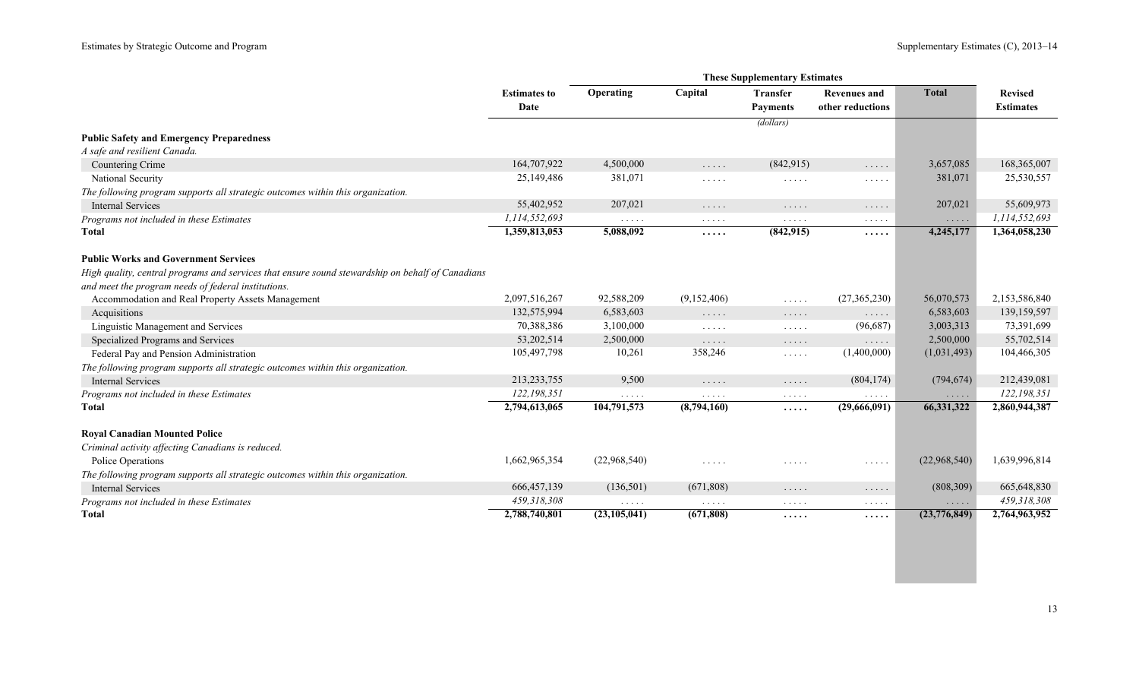|                                                                                                  | <b>Estimates to</b><br>Date | Operating                                 | Capital                                                | <b>Transfer</b><br><b>Payments</b>                 | <b>Revenues and</b><br>other reductions | <b>Total</b>         | <b>Revised</b><br><b>Estimates</b> |
|--------------------------------------------------------------------------------------------------|-----------------------------|-------------------------------------------|--------------------------------------------------------|----------------------------------------------------|-----------------------------------------|----------------------|------------------------------------|
|                                                                                                  |                             |                                           |                                                        | (dollars)                                          |                                         |                      |                                    |
| <b>Public Safety and Emergency Preparedness</b>                                                  |                             |                                           |                                                        |                                                    |                                         |                      |                                    |
| A safe and resilient Canada.                                                                     |                             |                                           |                                                        |                                                    |                                         |                      |                                    |
| Countering Crime                                                                                 | 164,707,922                 | 4,500,000                                 | $\sim$ $\sim$ $\sim$ $\sim$ $\sim$                     | (842, 915)                                         | $\ldots$                                | 3,657,085            | 168, 365, 007                      |
| National Security                                                                                | 25,149,486                  | 381,071                                   | $\sim$ $\sim$ $\sim$ $\sim$ $\sim$                     | $\sim$ $\sim$ $\sim$ $\sim$ $\sim$                 | .                                       | 381,071              | 25,530,557                         |
| The following program supports all strategic outcomes within this organization.                  |                             |                                           |                                                        |                                                    |                                         |                      |                                    |
| <b>Internal Services</b>                                                                         | 55,402,952                  | 207,021                                   | $\sim$ $\sim$ $\sim$ $\sim$ $\sim$                     | $\cdots\cdots\cdots$                               | $\cdots$                                | 207,021              | 55,609,973                         |
| Programs not included in these Estimates                                                         | 1,114,552,693               | $\sim$ $\sim$ $\sim$ $\sim$ $\sim$        | $\ldots$                                               | $\ldots$                                           | $\alpha$ , and $\alpha$ , and           | $\cdots\cdots\cdots$ | 1,114,552,693                      |
| <b>Total</b>                                                                                     | 1,359,813,053               | 5,088,092                                 | $\cdots$                                               | (842, 915)                                         | .                                       | 4,245,177            | 1,364,058,230                      |
| <b>Public Works and Government Services</b>                                                      |                             |                                           |                                                        |                                                    |                                         |                      |                                    |
| High quality, central programs and services that ensure sound stewardship on behalf of Canadians |                             |                                           |                                                        |                                                    |                                         |                      |                                    |
| and meet the program needs of federal institutions.                                              |                             |                                           |                                                        |                                                    |                                         |                      |                                    |
| Accommodation and Real Property Assets Management                                                | 2,097,516,267               | 92,588,209                                | (9,152,406)                                            | $\mathbb{Z}^n$ . $\mathbb{Z}^n$ , $\mathbb{Z}^n$ , | (27,365,230)                            | 56,070,573           | 2,153,586,840                      |
| Acquisitions                                                                                     | 132,575,994                 | 6,583,603                                 | $\ldots$                                               | $\ldots$                                           | .                                       | 6,583,603            | 139,159,597                        |
| Linguistic Management and Services                                                               | 70,388,386                  | 3,100,000                                 | $\sim$ $\sim$ $\sim$ $\sim$ $\sim$                     | $\cdots$                                           | (96,687)                                | 3,003,313            | 73,391,699                         |
| Specialized Programs and Services                                                                | 53,202,514                  | 2,500,000                                 | $\sim$ $\sim$ $\sim$ $\sim$ $\sim$                     | $\cdots\cdots\cdots$                               | $\ldots$                                | 2,500,000            | 55,702,514                         |
| Federal Pay and Pension Administration                                                           | 105,497,798                 | 10,261                                    | 358,246                                                | $\mathbb{Z}^n$ . $\mathbb{Z}^n$ , $\mathbb{Z}^n$ , | (1,400,000)                             | (1,031,493)          | 104,466,305                        |
| The following program supports all strategic outcomes within this organization.                  |                             |                                           |                                                        |                                                    |                                         |                      |                                    |
| <b>Internal Services</b>                                                                         | 213, 233, 755               | 9,500                                     | $\sim$ $\sim$ $\sim$ $\sim$ $\sim$                     | $\ldots$                                           | (804, 174)                              | (794, 674)           | 212,439,081                        |
| Programs not included in these Estimates                                                         | 122,198,351                 | $\sim$ $\sim$ $\sim$ $\sim$ $\sim$        | $\ldots$                                               | $\cdots$                                           | $\cdots$                                | $\cdots$             | 122,198,351                        |
| <b>Total</b>                                                                                     | 2,794,613,065               | 104,791,573                               | (8,794,160)                                            | .                                                  | (29,666,091)                            | 66,331,322           | 2,860,944,387                      |
| <b>Royal Canadian Mounted Police</b>                                                             |                             |                                           |                                                        |                                                    |                                         |                      |                                    |
| Criminal activity affecting Canadians is reduced.                                                |                             |                                           |                                                        |                                                    |                                         |                      |                                    |
| Police Operations                                                                                | 1,662,965,354               | (22,968,540)                              | $\sim$ $\sim$ $\sim$ $\sim$ $\sim$                     | $\cdots$                                           | $\cdots$                                | (22,968,540)         | 1,639,996,814                      |
| The following program supports all strategic outcomes within this organization.                  |                             |                                           |                                                        |                                                    |                                         |                      |                                    |
| <b>Internal Services</b>                                                                         | 666, 457, 139               | (136,501)                                 | (671,808)                                              | $\cdots$                                           | $\cdots$                                | (808, 309)           | 665,648,830                        |
| Programs not included in these Estimates                                                         | 459,318,308                 | $\alpha$ , $\alpha$ , $\alpha$ , $\alpha$ | $\mathcal{L}^{\mathcal{A}}$ . The set of $\mathcal{A}$ | $\mathbf{1}$ , and $\mathbf{1}$ , and $\mathbf{1}$ | $\sim$ $\sim$ $\sim$ $\sim$ $\sim$      | $\cdots$             | 459,318,308                        |
| <b>Total</b>                                                                                     | 2,788,740,801               | (23, 105, 041)                            | (671,808)                                              | .                                                  | .                                       | (23,776,849)         | 2,764,963,952                      |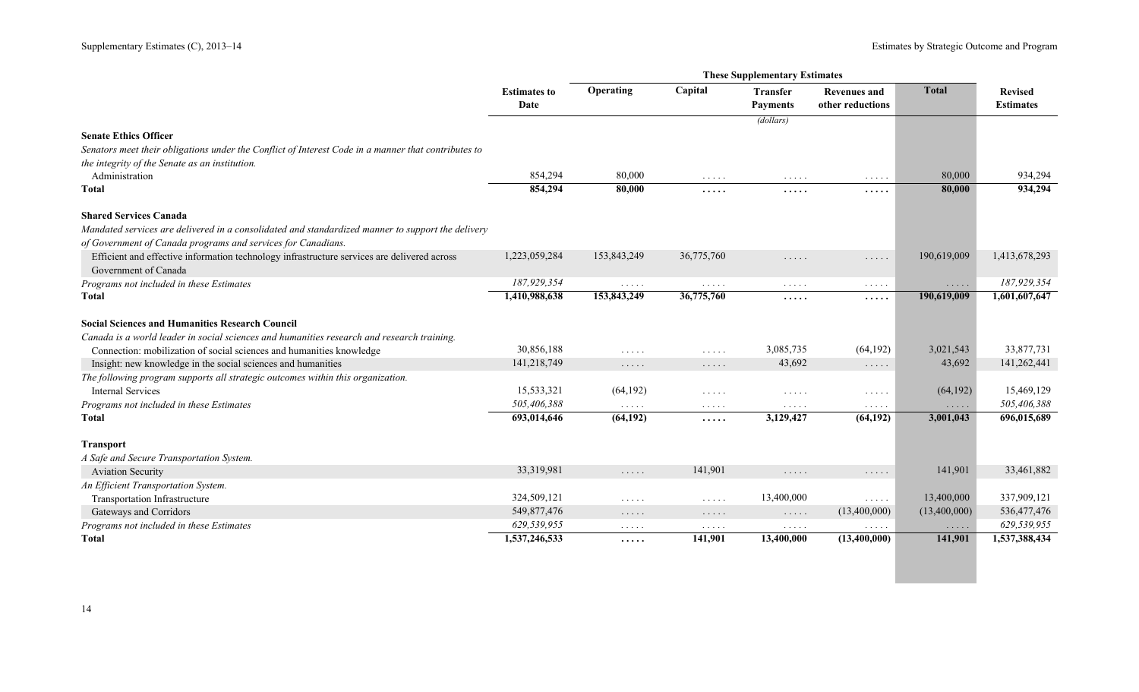|                                                                                                                     |                             |                                                                                               |                                                                   | <b>These Supplementary Estimates</b>      |                                                                   |                      |                                    |
|---------------------------------------------------------------------------------------------------------------------|-----------------------------|-----------------------------------------------------------------------------------------------|-------------------------------------------------------------------|-------------------------------------------|-------------------------------------------------------------------|----------------------|------------------------------------|
|                                                                                                                     | <b>Estimates to</b><br>Date | Operating                                                                                     | Capital                                                           | <b>Transfer</b><br><b>Payments</b>        | <b>Revenues and</b><br>other reductions                           | <b>Total</b>         | <b>Revised</b><br><b>Estimates</b> |
|                                                                                                                     |                             |                                                                                               |                                                                   | (dollars)                                 |                                                                   |                      |                                    |
| <b>Senate Ethics Officer</b>                                                                                        |                             |                                                                                               |                                                                   |                                           |                                                                   |                      |                                    |
| Senators meet their obligations under the Conflict of Interest Code in a manner that contributes to                 |                             |                                                                                               |                                                                   |                                           |                                                                   |                      |                                    |
| the integrity of the Senate as an institution.                                                                      |                             |                                                                                               |                                                                   |                                           |                                                                   |                      |                                    |
| Administration                                                                                                      | 854,294                     | 80,000                                                                                        | .                                                                 | $\sim$ $\sim$ $\sim$ $\sim$ $\sim$        | $\sim$ $\sim$ $\sim$ $\sim$ $\sim$                                | 80,000               | 934,294                            |
| <b>Total</b>                                                                                                        | 854,294                     | 80,000                                                                                        | .                                                                 | .                                         | .                                                                 | 80,000               | 934,294                            |
| <b>Shared Services Canada</b>                                                                                       |                             |                                                                                               |                                                                   |                                           |                                                                   |                      |                                    |
| Mandated services are delivered in a consolidated and standardized manner to support the delivery                   |                             |                                                                                               |                                                                   |                                           |                                                                   |                      |                                    |
| of Government of Canada programs and services for Canadians.                                                        |                             |                                                                                               |                                                                   |                                           |                                                                   |                      |                                    |
| Efficient and effective information technology infrastructure services are delivered across<br>Government of Canada | 1,223,059,284               | 153,843,249                                                                                   | 36,775,760                                                        | .                                         | $\cdots\cdots\cdots$                                              | 190,619,009          | 1,413,678,293                      |
| Programs not included in these Estimates                                                                            | 187,929,354                 | $\mathbf{1}^{\prime}$ , $\mathbf{1}^{\prime}$ , $\mathbf{1}^{\prime}$ , $\mathbf{1}^{\prime}$ | $\ldots$                                                          | $\alpha$ , $\alpha$ , $\alpha$ , $\alpha$ | $\sim$ $\sim$ $\sim$ $\sim$ $\sim$                                | $\cdots\cdots\cdots$ | 187,929,354                        |
| Total                                                                                                               | 1,410,988,638               | 153,843,249                                                                                   | 36,775,760                                                        | .                                         | .                                                                 | 190,619,009          | 1,601,607,647                      |
| <b>Social Sciences and Humanities Research Council</b>                                                              |                             |                                                                                               |                                                                   |                                           |                                                                   |                      |                                    |
| Canada is a world leader in social sciences and humanities research and research training.                          |                             |                                                                                               |                                                                   |                                           |                                                                   |                      |                                    |
| Connection: mobilization of social sciences and humanities knowledge                                                | 30,856,188                  | $\sim$ $\sim$ $\sim$ $\sim$ $\sim$                                                            | $\mathbb{Z}^n$ . $\mathbb{Z}^n$ , $\mathbb{Z}^n$ , $\mathbb{Z}^n$ | 3,085,735                                 | (64, 192)                                                         | 3,021,543            | 33,877,731                         |
| Insight: new knowledge in the social sciences and humanities                                                        | 141,218,749                 | $\ldots$                                                                                      | $\ldots$                                                          | 43,692                                    | $\mathbb{Z}^2$ . $\mathbb{Z}^2$ , $\mathbb{Z}^2$                  | 43,692               | 141,262,441                        |
| The following program supports all strategic outcomes within this organization.                                     |                             |                                                                                               |                                                                   |                                           |                                                                   |                      |                                    |
| <b>Internal Services</b>                                                                                            | 15,533,321                  | (64, 192)                                                                                     | $\mathbb{Z}^n$ . $\mathbb{Z}^n$ , $\mathbb{Z}^n$ , $\mathbb{Z}^n$ | $\ldots$                                  | $\mathbb{Z}^n$ . $\mathbb{Z}^n$ , $\mathbb{Z}^n$ , $\mathbb{Z}^n$ | (64, 192)            | 15,469,129                         |
| Programs not included in these Estimates                                                                            | 505,406,388                 | $\ldots$                                                                                      | $\ldots$                                                          | $\ldots$                                  | $\ldots$                                                          | $\cdots$             | 505,406,388                        |
| Total                                                                                                               | 693,014,646                 | (64, 192)                                                                                     | .                                                                 | 3,129,427                                 | (64, 192)                                                         | 3,001,043            | 696,015,689                        |
| <b>Transport</b>                                                                                                    |                             |                                                                                               |                                                                   |                                           |                                                                   |                      |                                    |
| A Safe and Secure Transportation System.                                                                            |                             |                                                                                               |                                                                   |                                           |                                                                   |                      |                                    |
| <b>Aviation Security</b>                                                                                            | 33,319,981                  | $\ldots$                                                                                      | 141,901                                                           | 1.1.1.1                                   | $\mathbb{Z}^n$ . $\mathbb{Z}^n$ , $\mathbb{Z}^n$                  | 141,901              | 33,461,882                         |
| An Efficient Transportation System.                                                                                 |                             |                                                                                               |                                                                   |                                           |                                                                   |                      |                                    |
| Transportation Infrastructure                                                                                       | 324,509,121                 | $\cdot$                                                                                       | $\mathbb{Z}^n$ . $\mathbb{Z}^n$ , $\mathbb{Z}^n$                  | 13,400,000                                | $\mathbb{Z}^2$ . $\mathbb{Z}^2$ , $\mathbb{Z}^2$                  | 13,400,000           | 337,909,121                        |
| Gateways and Corridors                                                                                              | 549,877,476                 | $\cdots$                                                                                      | $\cdots\cdots\cdots$                                              | $\ldots$                                  | (13,400,000)                                                      | (13,400,000)         | 536,477,476                        |
| Programs not included in these Estimates                                                                            | 629,539,955                 | $\cdots$                                                                                      | $\ldots$                                                          | $\mathbb{Z}^2$ . In the $\mathbb{Z}^2$    | .                                                                 | $\ldots$             | 629,539,955                        |
| <b>Total</b>                                                                                                        | 1,537,246,533               | $\cdots$                                                                                      | 141,901                                                           | 13,400,000                                | (13,400,000)                                                      | 141,901              | 1,537,388,434                      |
|                                                                                                                     |                             |                                                                                               |                                                                   |                                           |                                                                   |                      |                                    |
|                                                                                                                     |                             |                                                                                               |                                                                   |                                           |                                                                   |                      |                                    |